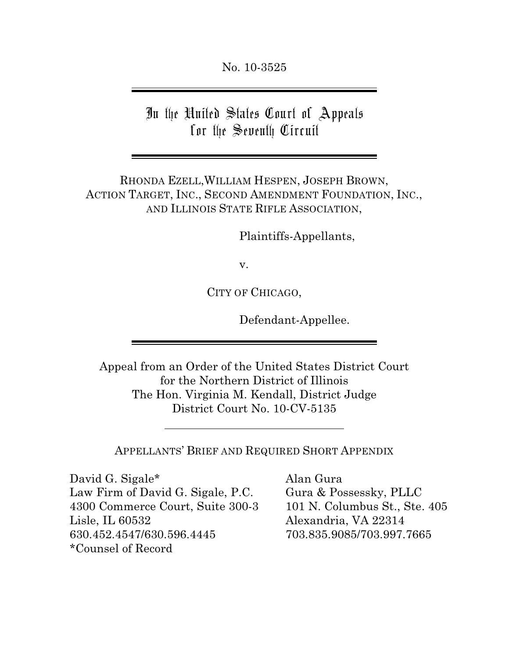No. 10-3525

In the United States Court of Appeals for the Seventh Circuit

RHONDA EZELL,WILLIAM HESPEN, JOSEPH BROWN, ACTION TARGET, INC., SECOND AMENDMENT FOUNDATION, INC., AND ILLINOIS STATE RIFLE ASSOCIATION,

Plaintiffs-Appellants,

v.

CITY OF CHICAGO,

Defendant-Appellee.

Appeal from an Order of the United States District Court for the Northern District of Illinois The Hon. Virginia M. Kendall, District Judge District Court No. 10-CV-5135

APPELLANTS' BRIEF AND REQUIRED SHORT APPENDIX

David G. Sigale\* Alan Gura Law Firm of David G. Sigale, P.C. Gura & Possessky, PLLC 4300 Commerce Court, Suite 300-3 101 N. Columbus St., Ste. 405 Lisle, IL 60532 Alexandria, VA 22314 630.452.4547/630.596.4445 703.835.9085/703.997.7665 \*Counsel of Record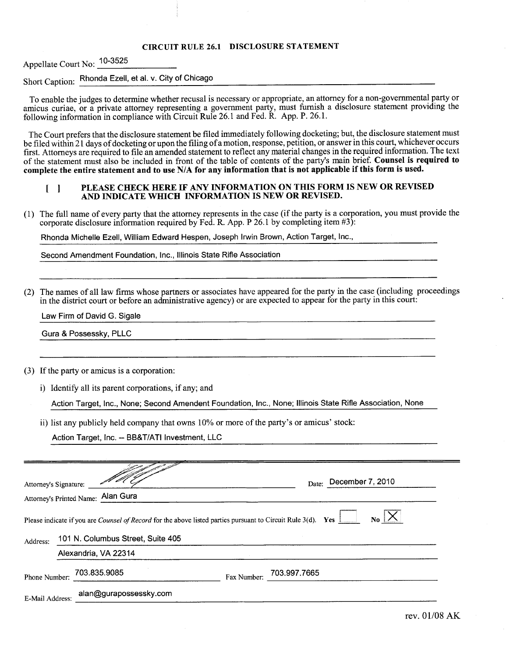#### **CIRCUIT RULE 26.1 DISCLOSURE STATEMENT**

Appellate Court No: 10-3525

# Short Caption: Rhonda Ezell, et al. v. City of Chicago

To enable the judges to determine whether recusal is necessary or appropriate, an attorney for a non-governmental party or amicus curiae, or a private attorney representing a government party, must furnish a disclosure statement providing the following information in compliance with Circuit Rule 26.1 and Fed. R. App. P. 26.1.

The Court prefers that the disclosure statement be filed immediately following docketing; but, the disclosure statement must be filed within 21 days of docketing or upon the filing of a motion, response, petition, or answer in this court, whichever occurs first. Attorneys are required to file an amended statement to reflect any material changes in the required information. The text of the statement must also be included in front of the table of contents of the party's main brief. Counsel is required to complete the entire statement and to use N/A for any information that is not applicable if this form is used.

#### PLEASE CHECK HERE IF ANY INFORMATION ON THIS FORM IS NEW OR REVISED  $\begin{bmatrix} 1 \end{bmatrix}$ AND INDICATE WHICH INFORMATION IS NEW OR REVISED.

(1) The full name of every party that the attorney represents in the case (if the party is a corporation, you must provide the corporate disclosure information required by Fed. R. App. P 26.1 by completing item  $#3$ ):

Rhonda Michelle Ezell, William Edward Hespen, Joseph Irwin Brown, Action Target, Inc.,

Second Amendment Foundation, Inc., Illinois State Rifle Association

(2) The names of all law firms whose partners or associates have appeared for the party in the case (including proceedings in the district court or before an administrative agency) or are expected to appear for the party in this court:

Law Firm of David G. Sigale

Gura & Possessky, PLLC

- (3) If the party or amicus is a corporation:
	- i) Identify all its parent corporations, if any; and

Action Target, Inc., None; Second Amendent Foundation, Inc., None; Illinois State Rifle Association, None

ii) list any publicly held company that owns 10% or more of the party's or amicus' stock:

Action Target, Inc. -- BB&T/ATI Investment, LLC

| Attorney's Signature:                                                                                                                                                                                      |  | Attorney's Printed Name: Alan Gura |             | Date: December 7, 2010 |
|------------------------------------------------------------------------------------------------------------------------------------------------------------------------------------------------------------|--|------------------------------------|-------------|------------------------|
| Please indicate if you are <i>Counsel of Record</i> for the above listed parties pursuant to Circuit Rule 3(d). Yes <b>Lackage 2014</b><br>N <sub>0</sub><br>101 N. Columbus Street, Suite 405<br>Address: |  |                                    |             |                        |
|                                                                                                                                                                                                            |  | Alexandria, VA 22314               |             |                        |
| Phone Number:                                                                                                                                                                                              |  | 703.835.9085                       | Fax Number: | 703.997.7665           |
| E-Mail Address:                                                                                                                                                                                            |  | alan@gurapossessky.com             |             |                        |
|                                                                                                                                                                                                            |  |                                    |             |                        |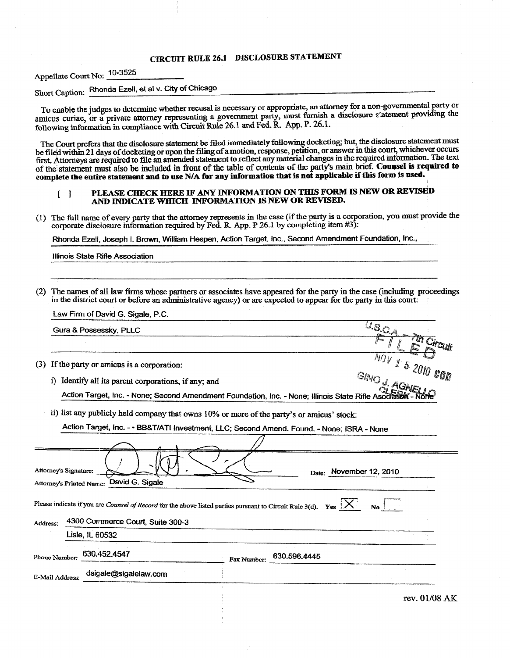### **CIRCUIT RULE 26.1 DISCLOSURE STATEMENT**

Appellate Court No: 10-3525

Short Caption: Rhonda Ezell, et al v. City of Chicago

To enable the judges to determine whether recusal is necessary or appropriate, an attorney for a non-governmental party or amicus curiae, or a private attorney representing a government party, must furnish a disclosure s'atement providing the following information in compliance with Circuit Rule 26.1 and Fed. R. App. P. 26.1.

The Court prefers that the disclosure statement be filed immediately following docketing; but, the disclosure statement must be filed within 21 days of docketing or upon the filing of a motion, response, petition, or answer in this court, whichever occurs first. Attorneys are required to file an amended statement to reflect any material changes in the required information. The text of the statement must also be included in front of the table of contents of the party's main brief. Counsel is required to complete the entire statement and to use N/A for any information that is not applicable if this form is used.

#### PLEASE CHECK HERE IF ANY INFORMATION ON THIS FORM IS NEW OR REVISED  $\begin{bmatrix} 1 \end{bmatrix}$ AND INDICATE WHICH INFORMATION IS NEW OR REVISED.

(1) The full name of every party that the attorney represents in the case (if the party is a corporation, you must provide the corporate disclosure information required by Fed. R. App. P 26.1 by completing item #3):

Rhonda Ezell, Joseph I. Brown, William Hespen, Action Target, Inc., Second Amendment Foundation, Inc.,

Illinois State Rifle Association

The names of all law firms whose partners or associates have appeared for the party in the case (including proceedings  $(2)$ in the district court or before an administrative agency) or are expected to appear for the party in this court.

| Law Firm of David G. Sigale, P.C.                                                         |                                                                                                                              |
|-------------------------------------------------------------------------------------------|------------------------------------------------------------------------------------------------------------------------------|
| Gura & Possessky, PLLC                                                                    | $U_{\mathcal{S},\mathcal{C},\mathcal{A}}$                                                                                    |
|                                                                                           | 7th Circuit                                                                                                                  |
| If the party or amicus is a corporation:<br>(3)                                           | $\frac{1}{\sqrt{2}}$ V 1 5 2010 COD                                                                                          |
| Identify all its parent corporations, if any; and<br>i).                                  | GINO J. AGNEL                                                                                                                |
|                                                                                           | Action Target, Inc. - None; Second Amendment Foundation, Inc. - None; Illinois State Rifle Asoc                              |
| ii) list any publicly held company that owns 10% or more of the party's or amicus' stock: |                                                                                                                              |
|                                                                                           | Action Target, Inc. - • BB&T/ATI Investment, LLC; Second Amend. Found. - None; ISRA - None                                   |
|                                                                                           |                                                                                                                              |
| Attorney's Signature:                                                                     | Date: November 12, 2010                                                                                                      |
| David G. Sigale<br>Attorney's Printed Name:                                               |                                                                                                                              |
| 4300 Commerce Court, Suite 300-3<br>Address:                                              | Please indicate if you are <i>Counsel of Record</i> for the above listed parties pursuant to Circuit Rule 3(d). Yes $ X $ No |
| Lisle, IL 60532                                                                           |                                                                                                                              |
| 630.452.4547<br>Phone Number:                                                             | 630.596.4445<br>Fax Number:                                                                                                  |
| dsigale@sigalelaw.com<br>E-Mail Address:                                                  |                                                                                                                              |
|                                                                                           | rev. 01/08 AK                                                                                                                |
|                                                                                           |                                                                                                                              |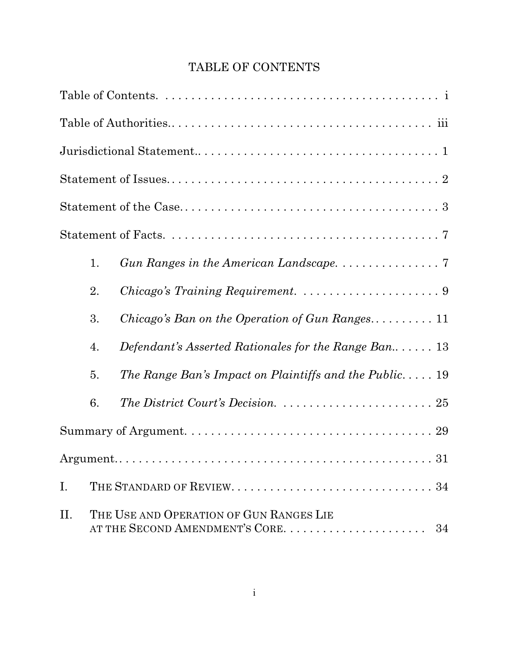# TABLE OF CONTENTS

|    | 1. |                                                                                      |
|----|----|--------------------------------------------------------------------------------------|
|    | 2. |                                                                                      |
|    | 3. | Chicago's Ban on the Operation of Gun Ranges 11                                      |
|    | 4. | Defendant's Asserted Rationales for the Range Ban 13                                 |
|    | 5. | The Range Ban's Impact on Plaintiffs and the Public 19                               |
|    | 6. | The District Court's Decision. $\ldots \ldots \ldots \ldots \ldots \ldots \ldots 25$ |
|    |    |                                                                                      |
|    |    |                                                                                      |
| I. |    |                                                                                      |
| Π. |    | THE USE AND OPERATION OF GUN RANGES LIE<br>AT THE SECOND AMENDMENT'S CORE.<br>34     |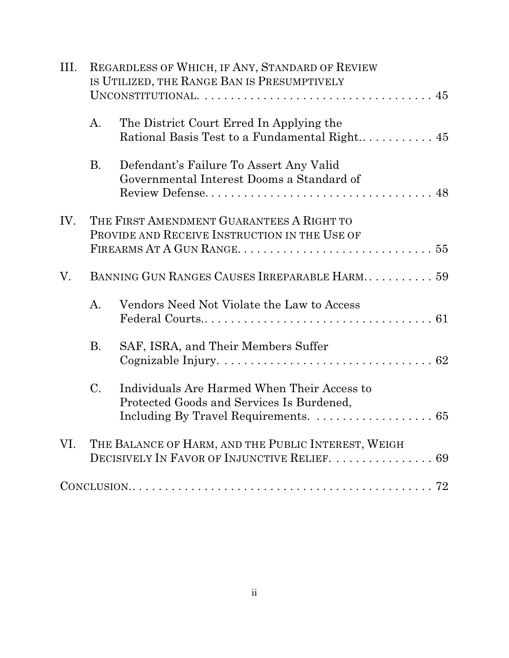| III. |                | REGARDLESS OF WHICH, IF ANY, STANDARD OF REVIEW<br>IS UTILIZED, THE RANGE BAN IS PRESUMPTIVELY       |  |  |
|------|----------------|------------------------------------------------------------------------------------------------------|--|--|
|      | $\mathbf{A}$ . | The District Court Erred In Applying the                                                             |  |  |
|      | <b>B.</b>      | Defendant's Failure To Assert Any Valid<br>Governmental Interest Dooms a Standard of                 |  |  |
| IV.  |                | THE FIRST AMENDMENT GUARANTEES A RIGHT TO<br>PROVIDE AND RECEIVE INSTRUCTION IN THE USE OF           |  |  |
| V.   |                | BANNING GUN RANGES CAUSES IRREPARABLE HARM 59                                                        |  |  |
|      | $A_{\cdot}$    | Vendors Need Not Violate the Law to Access                                                           |  |  |
|      | <b>B.</b>      | SAF, ISRA, and Their Members Suffer                                                                  |  |  |
|      | $C_{\cdot}$    | Individuals Are Harmed When Their Access to<br>Protected Goods and Services Is Burdened,             |  |  |
| VI.  |                | THE BALANCE OF HARM, AND THE PUBLIC INTEREST, WEIGH<br>DECISIVELY IN FAVOR OF INJUNCTIVE RELIEF.  69 |  |  |
|      |                |                                                                                                      |  |  |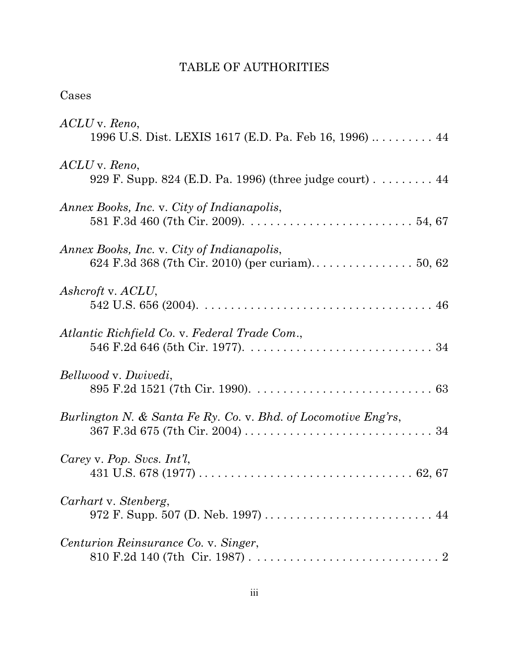## TABLE OF AUTHORITIES

| Cases                                                                    |
|--------------------------------------------------------------------------|
| ACLU v. Reno,<br>1996 U.S. Dist. LEXIS 1617 (E.D. Pa. Feb 16, 1996)  44  |
| ACLU v. Reno,<br>929 F. Supp. 824 (E.D. Pa. 1996) (three judge court) 44 |
| Annex Books, Inc. v. City of Indianapolis,                               |
| Annex Books, Inc. v. City of Indianapolis,                               |
| Ashcroft v. ACLU,                                                        |
| Atlantic Richfield Co. v. Federal Trade Com.,                            |
| Bellwood v. Dwivedi,                                                     |
| Burlington N. & Santa Fe Ry. Co. v. Bhd. of Locomotive Eng'rs,           |
| Carey v. Pop. Svcs. $Int'l$ ,                                            |
| Carhart v. Stenberg,<br>972 F. Supp. 507 (D. Neb. 1997)  44              |
| Centurion Reinsurance Co. v. Singer,                                     |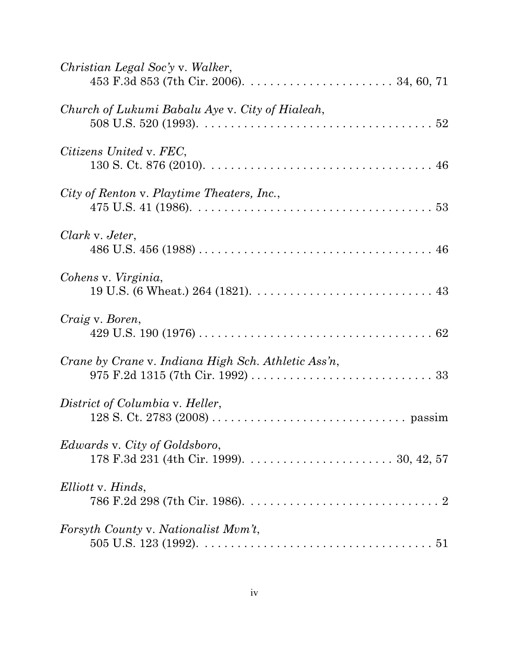| Christian Legal Soc'y v. Walker,                                                                                                                                 |
|------------------------------------------------------------------------------------------------------------------------------------------------------------------|
| Church of Lukumi Babalu Aye v. City of Hialeah,<br>508 U.S. 520 (1993). $\ldots \ldots \ldots \ldots \ldots \ldots \ldots \ldots \ldots \ldots \ldots \ldots 52$ |
| Citizens United v. FEC,                                                                                                                                          |
| City of Renton v. Playtime Theaters, Inc.,                                                                                                                       |
| Clark v. Jeter,                                                                                                                                                  |
| Cohens v. Virginia,                                                                                                                                              |
| Craig v. Boren,                                                                                                                                                  |
| Crane by Crane v. Indiana High Sch. Athletic Ass'n,                                                                                                              |
| District of Columbia v. Heller,                                                                                                                                  |
| <i>Edwards v. City of Goldsboro,</i>                                                                                                                             |
| Elliott v. Hinds,                                                                                                                                                |
| Forsyth County v. Nationalist Mvm't,                                                                                                                             |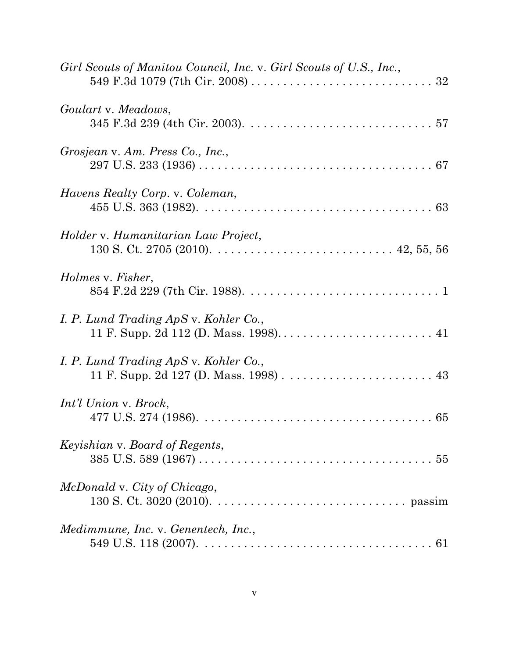| Girl Scouts of Manitou Council, Inc. v. Girl Scouts of U.S., Inc.,                                                                            |
|-----------------------------------------------------------------------------------------------------------------------------------------------|
| Goulart v. Meadows,                                                                                                                           |
| Grosjean v. Am. Press Co., Inc.,                                                                                                              |
| Havens Realty Corp. v. Coleman,                                                                                                               |
| <i>Holder v. Humanitarian Law Project,</i>                                                                                                    |
| Holmes v. Fisher,                                                                                                                             |
| I. P. Lund Trading ApS v. Kohler Co.,<br>11 F. Supp. 2d 112 (D. Mass. 1998) 41                                                                |
| I. P. Lund Trading ApS v. Kohler Co.,                                                                                                         |
| Int'l Union v. Brock,<br>477 U.S. 274 (1986). $\ldots \ldots \ldots \ldots \ldots \ldots \ldots \ldots \ldots \ldots \ldots \ldots \ldots 65$ |
| <i>Keyishian v. Board of Regents,</i>                                                                                                         |
| McDonald v. City of Chicago,                                                                                                                  |
| Medimmune, Inc. v. Genentech, Inc.,                                                                                                           |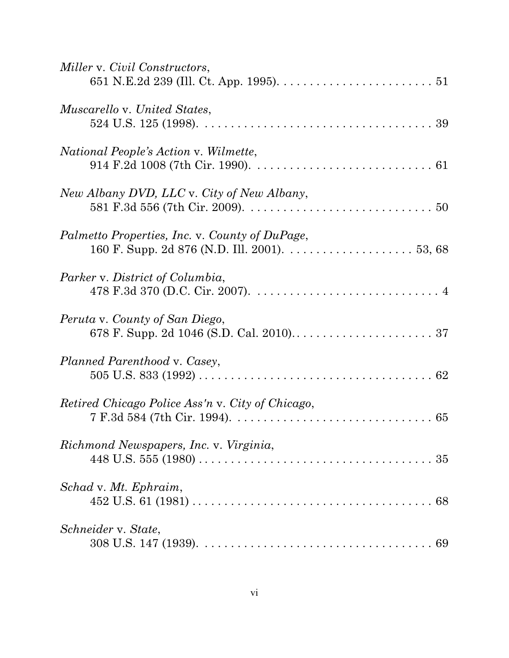| Miller v. Civil Constructors,                                                                                                                               |
|-------------------------------------------------------------------------------------------------------------------------------------------------------------|
| <i>Muscarello v. United States,</i><br>524 U.S. 125 (1998). $\ldots \ldots \ldots \ldots \ldots \ldots \ldots \ldots \ldots \ldots \ldots \ldots \ldots 39$ |
| National People's Action v. Wilmette,                                                                                                                       |
| New Albany DVD, LLC v. City of New Albany,                                                                                                                  |
| Palmetto Properties, Inc. v. County of DuPage,                                                                                                              |
| Parker v. District of Columbia,                                                                                                                             |
| Peruta v. County of San Diego,                                                                                                                              |
| Planned Parenthood v. Casey,                                                                                                                                |
| Retired Chicago Police Ass'n v. City of Chicago,                                                                                                            |
| Richmond Newspapers, Inc. v. Virginia,                                                                                                                      |
| Schad v. Mt. Ephraim,                                                                                                                                       |
| Schneider v. State,                                                                                                                                         |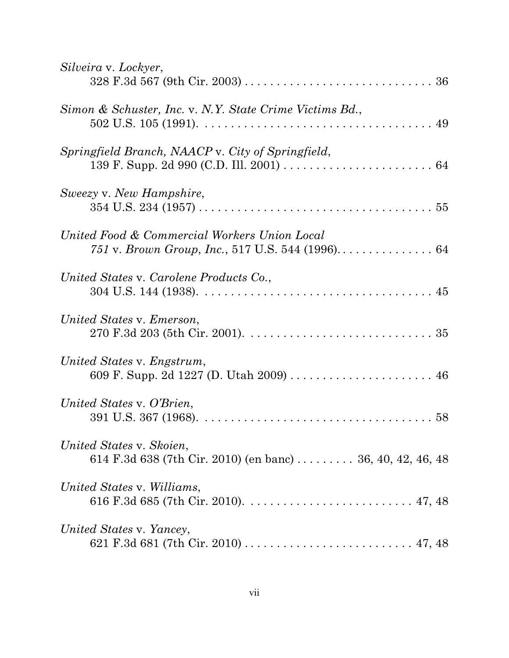| Silveira v. Lockyer,                                                                   |
|----------------------------------------------------------------------------------------|
| Simon & Schuster, Inc. v. N.Y. State Crime Victims Bd.,                                |
| Springfield Branch, NAACP v. City of Springfield,                                      |
| Sweezy v. New Hampshire,                                                               |
| United Food & Commercial Workers Union Local                                           |
| United States v. Carolene Products Co.,                                                |
| United States v. Emerson,                                                              |
| United States v. Engstrum,<br>609 F. Supp. 2d 1227 (D. Utah 2009)  46                  |
| United States v. O'Brien,                                                              |
| United States v. Skoien,<br>614 F.3d 638 (7th Cir. 2010) (en banc)  36, 40, 42, 46, 48 |
| United States v. Williams,                                                             |
| United States v. Yancey,                                                               |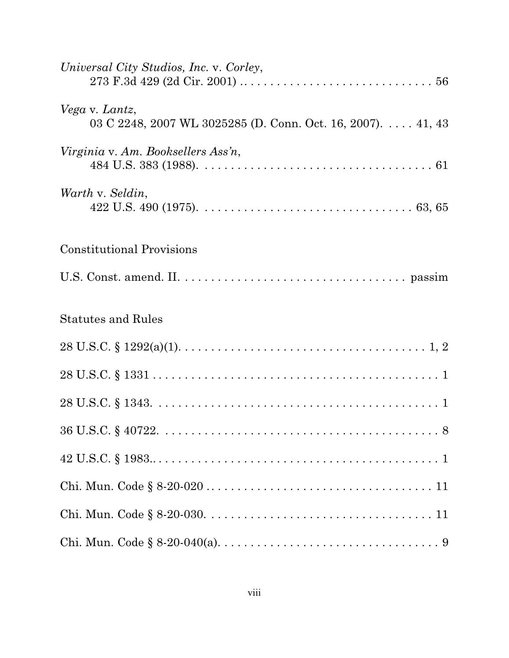| Universal City Studios, Inc. v. Corley,                                       |
|-------------------------------------------------------------------------------|
| Vega v. Lantz,<br>03 C 2248, 2007 WL 3025285 (D. Conn. Oct. 16, 2007). 41, 43 |
| Virginia v. Am. Booksellers Ass'n,                                            |
| Warth v. Seldin,                                                              |
| <b>Constitutional Provisions</b>                                              |
|                                                                               |
| <b>Statutes and Rules</b>                                                     |
|                                                                               |
|                                                                               |
|                                                                               |
|                                                                               |
|                                                                               |
|                                                                               |
|                                                                               |
|                                                                               |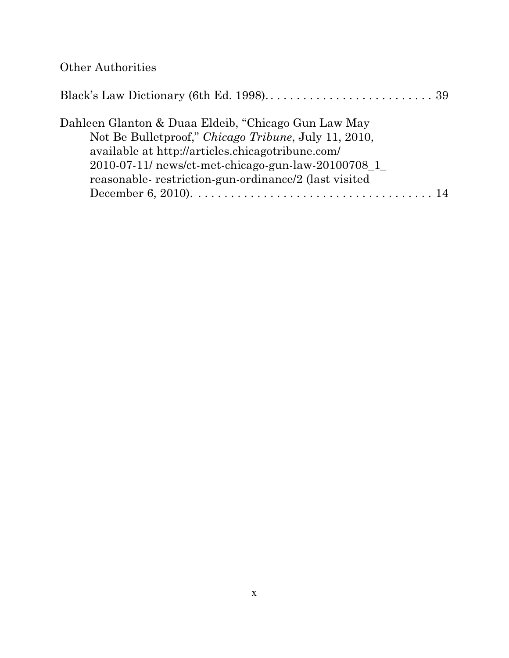# Other Authorities

| Dahleen Glanton & Duaa Eldeib, "Chicago Gun Law May      |  |
|----------------------------------------------------------|--|
| Not Be Bulletproof," Chicago Tribune, July 11, 2010,     |  |
| available at http://articles.chicagotribune.com/         |  |
| $2010-07-11$ / news/ct-met-chicago-gun-law- $20100708$ 1 |  |
| reasonable-restriction-gun-ordinance/2 (last visited     |  |
|                                                          |  |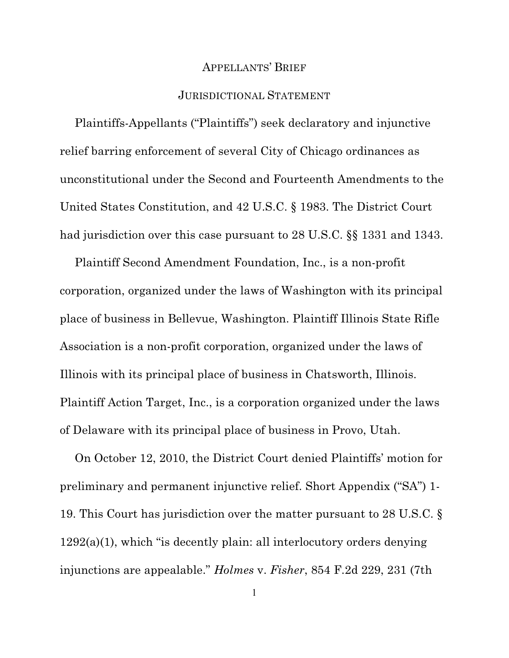#### APPELLANTS' BRIEF

#### JURISDICTIONAL STATEMENT

Plaintiffs-Appellants ("Plaintiffs") seek declaratory and injunctive relief barring enforcement of several City of Chicago ordinances as unconstitutional under the Second and Fourteenth Amendments to the United States Constitution, and 42 U.S.C. § 1983. The District Court had jurisdiction over this case pursuant to 28 U.S.C. §§ 1331 and 1343.

Plaintiff Second Amendment Foundation, Inc., is a non-profit corporation, organized under the laws of Washington with its principal place of business in Bellevue, Washington. Plaintiff Illinois State Rifle Association is a non-profit corporation, organized under the laws of Illinois with its principal place of business in Chatsworth, Illinois. Plaintiff Action Target, Inc., is a corporation organized under the laws of Delaware with its principal place of business in Provo, Utah.

On October 12, 2010, the District Court denied Plaintiffs' motion for preliminary and permanent injunctive relief. Short Appendix ("SA") 1- 19. This Court has jurisdiction over the matter pursuant to 28 U.S.C. § 1292(a)(1), which "is decently plain: all interlocutory orders denying injunctions are appealable." *Holmes* v. *Fisher*, 854 F.2d 229, 231 (7th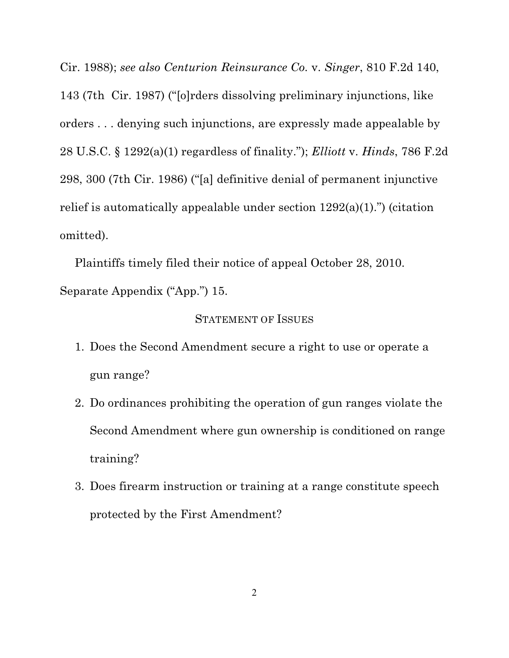Cir. 1988); *see also Centurion Reinsurance Co.* v. *Singer*, 810 F.2d 140, 143 (7th Cir. 1987) ("[o]rders dissolving preliminary injunctions, like orders . . . denying such injunctions, are expressly made appealable by 28 U.S.C. § 1292(a)(1) regardless of finality."); *Elliott* v. *Hinds*, 786 F.2d 298, 300 (7th Cir. 1986) ("[a] definitive denial of permanent injunctive relief is automatically appealable under section 1292(a)(1).") (citation omitted).

Plaintiffs timely filed their notice of appeal October 28, 2010. Separate Appendix ("App.") 15.

#### STATEMENT OF ISSUES

- 1. Does the Second Amendment secure a right to use or operate a gun range?
- 2. Do ordinances prohibiting the operation of gun ranges violate the Second Amendment where gun ownership is conditioned on range training?
- 3. Does firearm instruction or training at a range constitute speech protected by the First Amendment?

2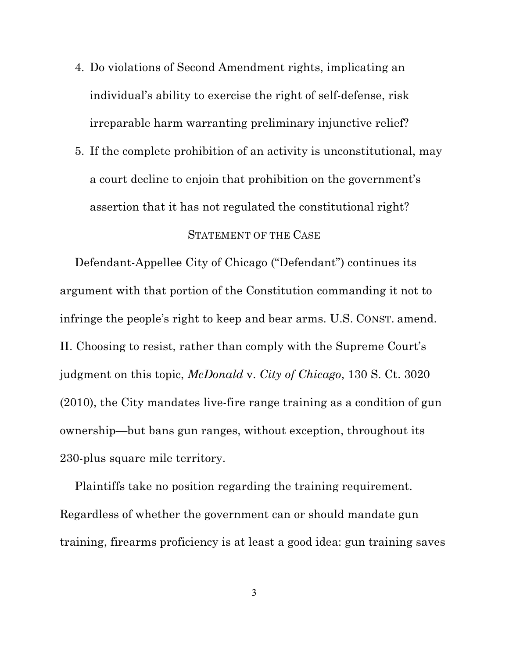- 4. Do violations of Second Amendment rights, implicating an individual's ability to exercise the right of self-defense, risk irreparable harm warranting preliminary injunctive relief?
- 5. If the complete prohibition of an activity is unconstitutional, may a court decline to enjoin that prohibition on the government's assertion that it has not regulated the constitutional right?

#### STATEMENT OF THE CASE

Defendant-Appellee City of Chicago ("Defendant") continues its argument with that portion of the Constitution commanding it not to infringe the people's right to keep and bear arms. U.S. CONST. amend. II. Choosing to resist, rather than comply with the Supreme Court's judgment on this topic, *McDonald* v. *City of Chicago*, 130 S. Ct. 3020 (2010), the City mandates live-fire range training as a condition of gun ownership—but bans gun ranges, without exception, throughout its 230-plus square mile territory.

Plaintiffs take no position regarding the training requirement. Regardless of whether the government can or should mandate gun training, firearms proficiency is at least a good idea: gun training saves

3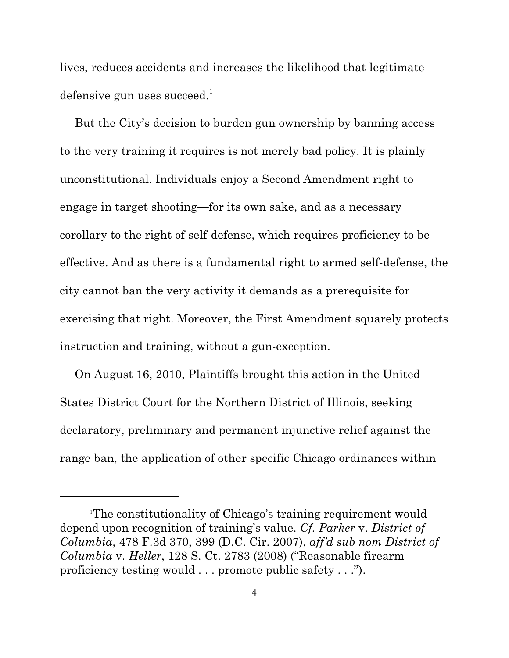lives, reduces accidents and increases the likelihood that legitimate defensive gun uses succeed. $1$ 

But the City's decision to burden gun ownership by banning access to the very training it requires is not merely bad policy. It is plainly unconstitutional. Individuals enjoy a Second Amendment right to engage in target shooting—for its own sake, and as a necessary corollary to the right of self-defense, which requires proficiency to be effective. And as there is a fundamental right to armed self-defense, the city cannot ban the very activity it demands as a prerequisite for exercising that right. Moreover, the First Amendment squarely protects instruction and training, without a gun-exception.

On August 16, 2010, Plaintiffs brought this action in the United States District Court for the Northern District of Illinois, seeking declaratory, preliminary and permanent injunctive relief against the range ban, the application of other specific Chicago ordinances within

The constitutionality of Chicago's training requirement would <sup>1</sup> depend upon recognition of training's value. *Cf. Parker* v. *District of Columbia*, 478 F.3d 370, 399 (D.C. Cir. 2007), *aff'd sub nom District of Columbia* v. *Heller*, 128 S. Ct. 2783 (2008) ("Reasonable firearm proficiency testing would . . . promote public safety . . .").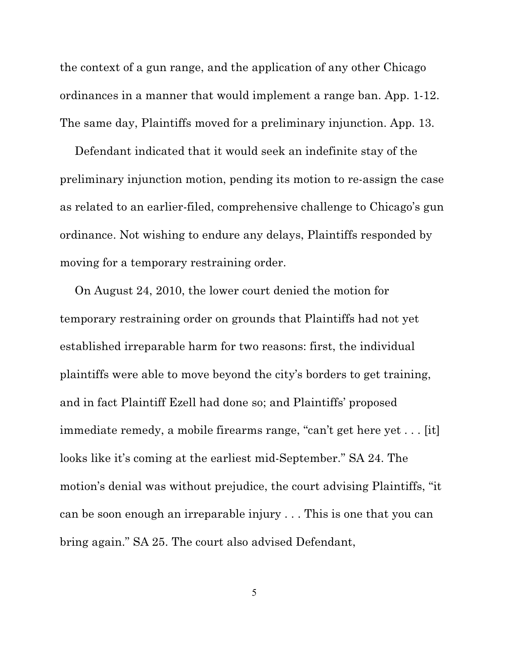the context of a gun range, and the application of any other Chicago ordinances in a manner that would implement a range ban. App. 1-12. The same day, Plaintiffs moved for a preliminary injunction. App. 13.

Defendant indicated that it would seek an indefinite stay of the preliminary injunction motion, pending its motion to re-assign the case as related to an earlier-filed, comprehensive challenge to Chicago's gun ordinance. Not wishing to endure any delays, Plaintiffs responded by moving for a temporary restraining order.

On August 24, 2010, the lower court denied the motion for temporary restraining order on grounds that Plaintiffs had not yet established irreparable harm for two reasons: first, the individual plaintiffs were able to move beyond the city's borders to get training, and in fact Plaintiff Ezell had done so; and Plaintiffs' proposed immediate remedy, a mobile firearms range, "can't get here yet . . . [it] looks like it's coming at the earliest mid-September." SA 24. The motion's denial was without prejudice, the court advising Plaintiffs, "it can be soon enough an irreparable injury . . . This is one that you can bring again." SA 25. The court also advised Defendant,

5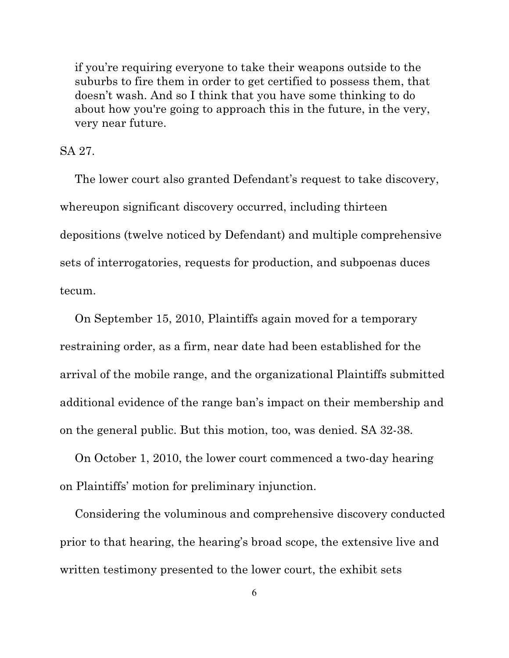if you're requiring everyone to take their weapons outside to the suburbs to fire them in order to get certified to possess them, that doesn't wash. And so I think that you have some thinking to do about how you're going to approach this in the future, in the very, very near future.

SA 27.

The lower court also granted Defendant's request to take discovery, whereupon significant discovery occurred, including thirteen depositions (twelve noticed by Defendant) and multiple comprehensive sets of interrogatories, requests for production, and subpoenas duces tecum.

On September 15, 2010, Plaintiffs again moved for a temporary restraining order, as a firm, near date had been established for the arrival of the mobile range, and the organizational Plaintiffs submitted additional evidence of the range ban's impact on their membership and on the general public. But this motion, too, was denied. SA 32-38.

On October 1, 2010, the lower court commenced a two-day hearing on Plaintiffs' motion for preliminary injunction.

Considering the voluminous and comprehensive discovery conducted prior to that hearing, the hearing's broad scope, the extensive live and written testimony presented to the lower court, the exhibit sets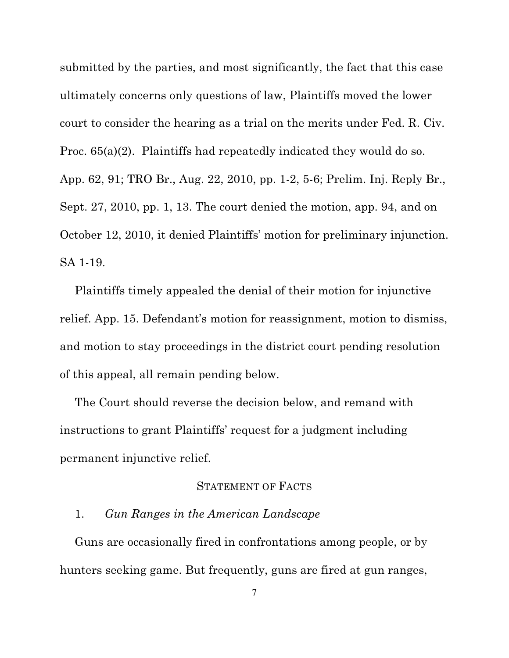submitted by the parties, and most significantly, the fact that this case ultimately concerns only questions of law, Plaintiffs moved the lower court to consider the hearing as a trial on the merits under Fed. R. Civ. Proc. 65(a)(2). Plaintiffs had repeatedly indicated they would do so. App. 62, 91; TRO Br., Aug. 22, 2010, pp. 1-2, 5-6; Prelim. Inj. Reply Br., Sept. 27, 2010, pp. 1, 13. The court denied the motion, app. 94, and on October 12, 2010, it denied Plaintiffs' motion for preliminary injunction. SA 1-19.

Plaintiffs timely appealed the denial of their motion for injunctive relief. App. 15. Defendant's motion for reassignment, motion to dismiss, and motion to stay proceedings in the district court pending resolution of this appeal, all remain pending below.

The Court should reverse the decision below, and remand with instructions to grant Plaintiffs' request for a judgment including permanent injunctive relief.

#### STATEMENT OF FACTS

## 1. *Gun Ranges in the American Landscape*

Guns are occasionally fired in confrontations among people, or by hunters seeking game. But frequently, guns are fired at gun ranges,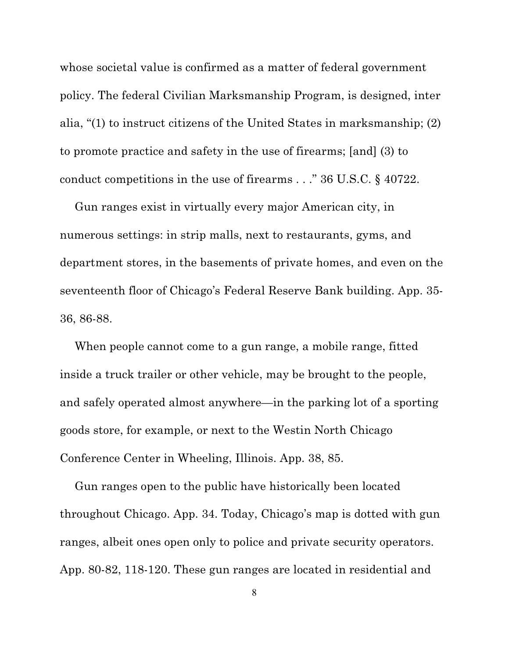whose societal value is confirmed as a matter of federal government policy. The federal Civilian Marksmanship Program, is designed, inter alia, "(1) to instruct citizens of the United States in marksmanship; (2) to promote practice and safety in the use of firearms; [and] (3) to conduct competitions in the use of firearms . . ." 36 U.S.C. § 40722.

Gun ranges exist in virtually every major American city, in numerous settings: in strip malls, next to restaurants, gyms, and department stores, in the basements of private homes, and even on the seventeenth floor of Chicago's Federal Reserve Bank building. App. 35- 36, 86-88.

When people cannot come to a gun range, a mobile range, fitted inside a truck trailer or other vehicle, may be brought to the people, and safely operated almost anywhere—in the parking lot of a sporting goods store, for example, or next to the Westin North Chicago Conference Center in Wheeling, Illinois. App. 38, 85.

Gun ranges open to the public have historically been located throughout Chicago. App. 34. Today, Chicago's map is dotted with gun ranges, albeit ones open only to police and private security operators. App. 80-82, 118-120. These gun ranges are located in residential and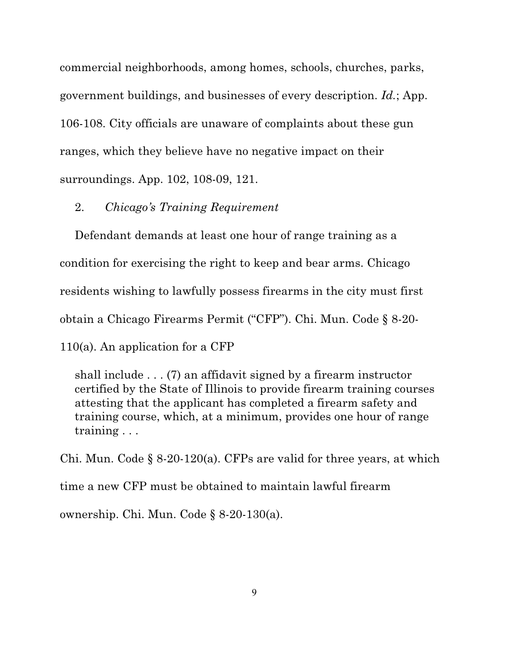commercial neighborhoods, among homes, schools, churches, parks, government buildings, and businesses of every description. *Id.*; App. 106-108. City officials are unaware of complaints about these gun ranges, which they believe have no negative impact on their surroundings. App. 102, 108-09, 121.

#### 2. *Chicago's Training Requirement*

Defendant demands at least one hour of range training as a condition for exercising the right to keep and bear arms. Chicago residents wishing to lawfully possess firearms in the city must first obtain a Chicago Firearms Permit ("CFP"). Chi. Mun. Code § 8-20- 110(a). An application for a CFP

shall include . . . (7) an affidavit signed by a firearm instructor certified by the State of Illinois to provide firearm training courses attesting that the applicant has completed a firearm safety and training course, which, at a minimum, provides one hour of range training . . .

Chi. Mun. Code  $\S$  8-20-120(a). CFPs are valid for three years, at which time a new CFP must be obtained to maintain lawful firearm ownership. Chi. Mun. Code § 8-20-130(a).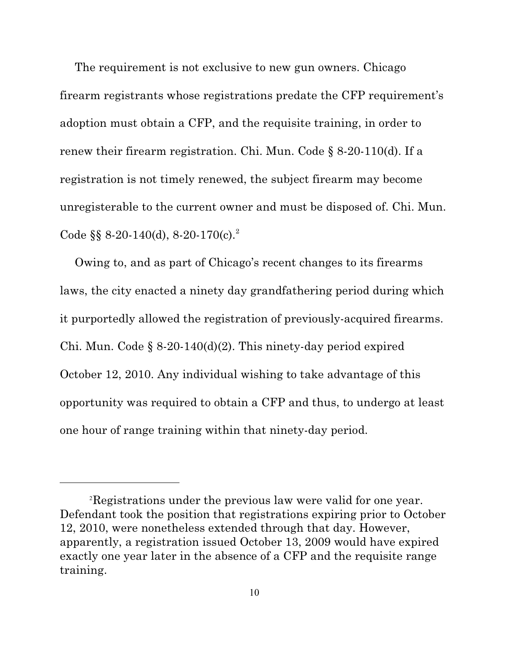The requirement is not exclusive to new gun owners. Chicago firearm registrants whose registrations predate the CFP requirement's adoption must obtain a CFP, and the requisite training, in order to renew their firearm registration. Chi. Mun. Code § 8-20-110(d). If a registration is not timely renewed, the subject firearm may become unregisterable to the current owner and must be disposed of. Chi. Mun. Code §§  $8-20-140(d)$ ,  $8-20-170(c)$ .<sup>2</sup>

Owing to, and as part of Chicago's recent changes to its firearms laws, the city enacted a ninety day grandfathering period during which it purportedly allowed the registration of previously-acquired firearms. Chi. Mun. Code § 8-20-140(d)(2). This ninety-day period expired October 12, 2010. Any individual wishing to take advantage of this opportunity was required to obtain a CFP and thus, to undergo at least one hour of range training within that ninety-day period.

Registrations under the previous law were valid for one year. <sup>2</sup> Defendant took the position that registrations expiring prior to October 12, 2010, were nonetheless extended through that day. However, apparently, a registration issued October 13, 2009 would have expired exactly one year later in the absence of a CFP and the requisite range training.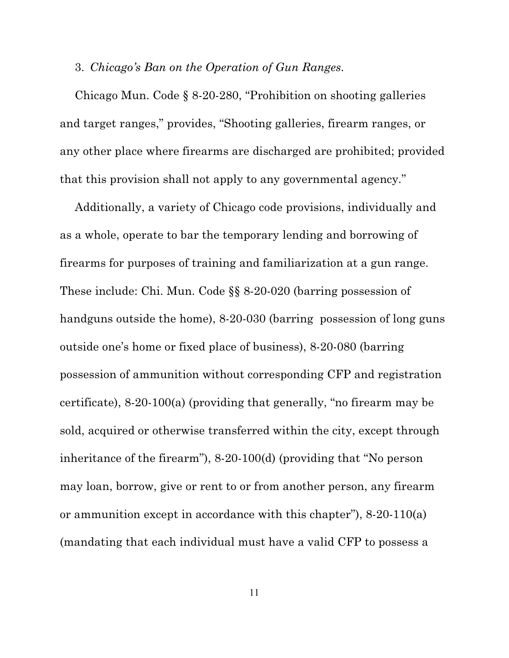### 3. *Chicago's Ban on the Operation of Gun Ranges.*

Chicago Mun. Code § 8-20-280, "Prohibition on shooting galleries and target ranges," provides, "Shooting galleries, firearm ranges, or any other place where firearms are discharged are prohibited; provided that this provision shall not apply to any governmental agency."

Additionally, a variety of Chicago code provisions, individually and as a whole, operate to bar the temporary lending and borrowing of firearms for purposes of training and familiarization at a gun range. These include: Chi. Mun. Code §§ 8-20-020 (barring possession of handguns outside the home), 8-20-030 (barring possession of long guns outside one's home or fixed place of business), 8-20-080 (barring possession of ammunition without corresponding CFP and registration certificate), 8-20-100(a) (providing that generally, "no firearm may be sold, acquired or otherwise transferred within the city, except through inheritance of the firearm"), 8-20-100(d) (providing that "No person may loan, borrow, give or rent to or from another person, any firearm or ammunition except in accordance with this chapter"), 8-20-110(a) (mandating that each individual must have a valid CFP to possess a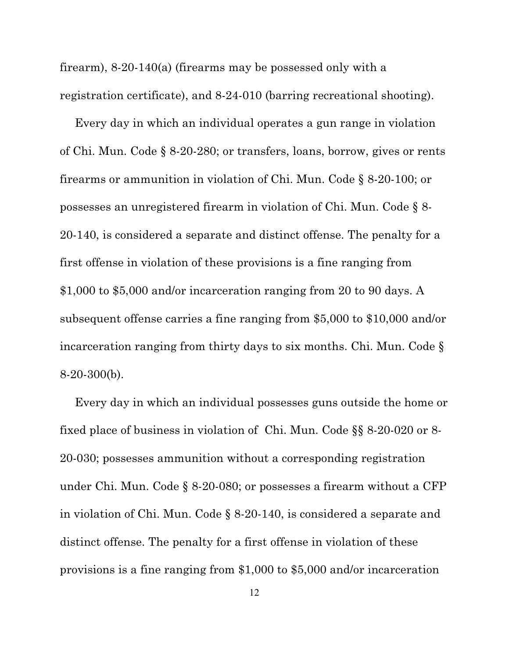firearm), 8-20-140(a) (firearms may be possessed only with a registration certificate), and 8-24-010 (barring recreational shooting).

Every day in which an individual operates a gun range in violation of Chi. Mun. Code § 8-20-280; or transfers, loans, borrow, gives or rents firearms or ammunition in violation of Chi. Mun. Code § 8-20-100; or possesses an unregistered firearm in violation of Chi. Mun. Code § 8- 20-140, is considered a separate and distinct offense. The penalty for a first offense in violation of these provisions is a fine ranging from \$1,000 to \$5,000 and/or incarceration ranging from 20 to 90 days. A subsequent offense carries a fine ranging from \$5,000 to \$10,000 and/or incarceration ranging from thirty days to six months. Chi. Mun. Code § 8-20-300(b).

Every day in which an individual possesses guns outside the home or fixed place of business in violation of Chi. Mun. Code §§ 8-20-020 or 8- 20-030; possesses ammunition without a corresponding registration under Chi. Mun. Code § 8-20-080; or possesses a firearm without a CFP in violation of Chi. Mun. Code § 8-20-140, is considered a separate and distinct offense. The penalty for a first offense in violation of these provisions is a fine ranging from \$1,000 to \$5,000 and/or incarceration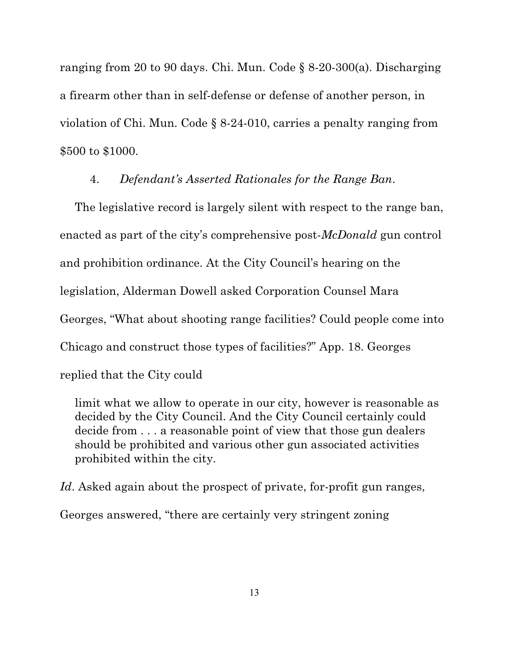ranging from 20 to 90 days. Chi. Mun. Code § 8-20-300(a). Discharging a firearm other than in self-defense or defense of another person, in violation of Chi. Mun. Code § 8-24-010, carries a penalty ranging from \$500 to \$1000.

#### 4. *Defendant's Asserted Rationales for the Range Ban*.

The legislative record is largely silent with respect to the range ban, enacted as part of the city's comprehensive post-*McDonald* gun control and prohibition ordinance. At the City Council's hearing on the legislation, Alderman Dowell asked Corporation Counsel Mara Georges, "What about shooting range facilities? Could people come into Chicago and construct those types of facilities?" App. 18. Georges replied that the City could

limit what we allow to operate in our city, however is reasonable as decided by the City Council. And the City Council certainly could decide from . . . a reasonable point of view that those gun dealers should be prohibited and various other gun associated activities prohibited within the city.

Id. Asked again about the prospect of private, for-profit gun ranges, Georges answered, "there are certainly very stringent zoning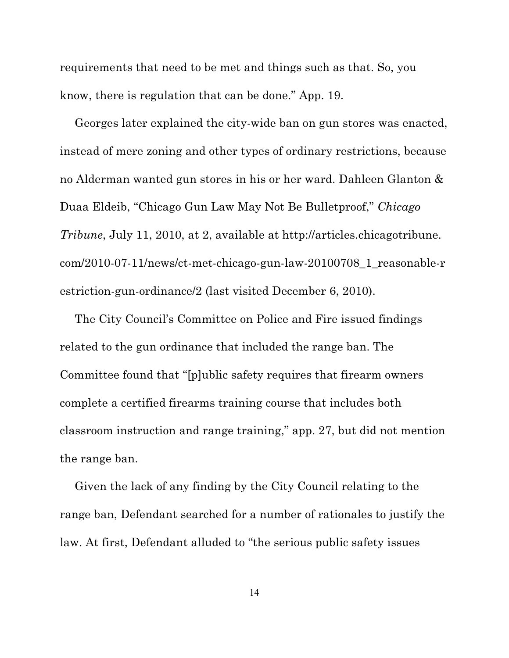requirements that need to be met and things such as that. So, you know, there is regulation that can be done." App. 19.

Georges later explained the city-wide ban on gun stores was enacted, instead of mere zoning and other types of ordinary restrictions, because no Alderman wanted gun stores in his or her ward. Dahleen Glanton & Duaa Eldeib, "Chicago Gun Law May Not Be Bulletproof," *Chicago Tribune*, July 11, 2010, at 2, available at http://articles.chicagotribune. com/2010-07-11/news/ct-met-chicago-gun-law-20100708\_1\_reasonable-r estriction-gun-ordinance/2 (last visited December 6, 2010).

The City Council's Committee on Police and Fire issued findings related to the gun ordinance that included the range ban. The Committee found that "[p]ublic safety requires that firearm owners complete a certified firearms training course that includes both classroom instruction and range training," app. 27, but did not mention the range ban.

Given the lack of any finding by the City Council relating to the range ban, Defendant searched for a number of rationales to justify the law. At first, Defendant alluded to "the serious public safety issues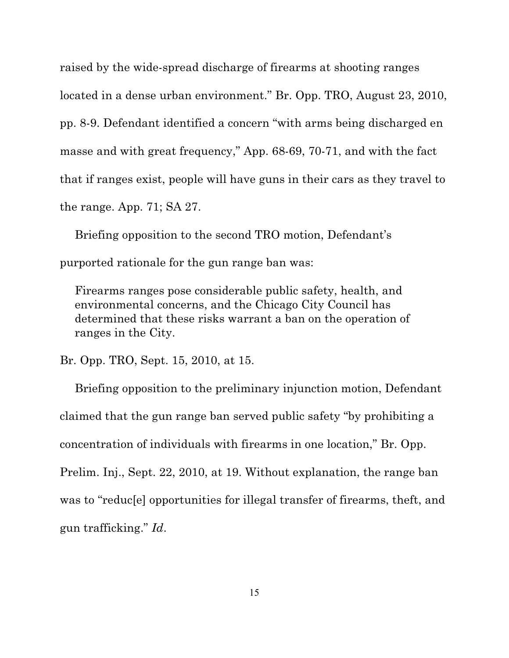raised by the wide-spread discharge of firearms at shooting ranges located in a dense urban environment." Br. Opp. TRO, August 23, 2010, pp. 8-9. Defendant identified a concern "with arms being discharged en masse and with great frequency," App. 68-69, 70-71, and with the fact that if ranges exist, people will have guns in their cars as they travel to the range. App. 71; SA 27.

Briefing opposition to the second TRO motion, Defendant's purported rationale for the gun range ban was:

Firearms ranges pose considerable public safety, health, and environmental concerns, and the Chicago City Council has determined that these risks warrant a ban on the operation of ranges in the City.

Br. Opp. TRO, Sept. 15, 2010, at 15.

Briefing opposition to the preliminary injunction motion, Defendant claimed that the gun range ban served public safety "by prohibiting a concentration of individuals with firearms in one location," Br. Opp. Prelim. Inj., Sept. 22, 2010, at 19. Without explanation, the range ban was to "reduc[e] opportunities for illegal transfer of firearms, theft, and gun trafficking." *Id*.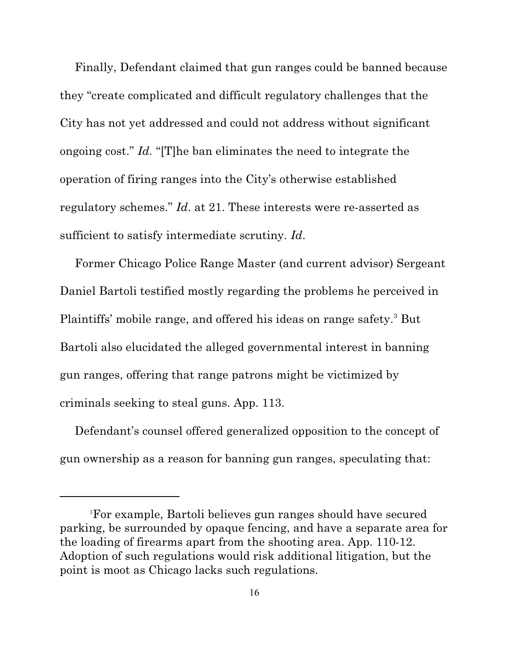Finally, Defendant claimed that gun ranges could be banned because they "create complicated and difficult regulatory challenges that the City has not yet addressed and could not address without significant ongoing cost." *Id.* "[T]he ban eliminates the need to integrate the operation of firing ranges into the City's otherwise established regulatory schemes." *Id*. at 21. These interests were re-asserted as sufficient to satisfy intermediate scrutiny. *Id*.

Former Chicago Police Range Master (and current advisor) Sergeant Daniel Bartoli testified mostly regarding the problems he perceived in Plaintiffs' mobile range, and offered his ideas on range safety.<sup>3</sup> But Bartoli also elucidated the alleged governmental interest in banning gun ranges, offering that range patrons might be victimized by criminals seeking to steal guns. App. 113.

Defendant's counsel offered generalized opposition to the concept of gun ownership as a reason for banning gun ranges, speculating that:

For example, Bartoli believes gun ranges should have secured 3 parking, be surrounded by opaque fencing, and have a separate area for the loading of firearms apart from the shooting area. App. 110-12. Adoption of such regulations would risk additional litigation, but the point is moot as Chicago lacks such regulations.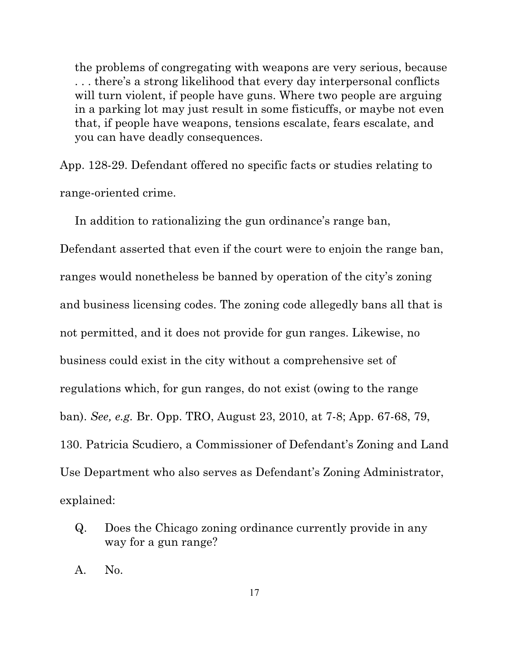the problems of congregating with weapons are very serious, because . . . there's a strong likelihood that every day interpersonal conflicts will turn violent, if people have guns. Where two people are arguing in a parking lot may just result in some fisticuffs, or maybe not even that, if people have weapons, tensions escalate, fears escalate, and you can have deadly consequences.

App. 128-29. Defendant offered no specific facts or studies relating to range-oriented crime.

In addition to rationalizing the gun ordinance's range ban,

Defendant asserted that even if the court were to enjoin the range ban, ranges would nonetheless be banned by operation of the city's zoning and business licensing codes. The zoning code allegedly bans all that is not permitted, and it does not provide for gun ranges. Likewise, no business could exist in the city without a comprehensive set of regulations which, for gun ranges, do not exist (owing to the range ban). *See, e.g.* Br. Opp. TRO, August 23, 2010, at 7-8; App. 67-68, 79, 130. Patricia Scudiero, a Commissioner of Defendant's Zoning and Land Use Department who also serves as Defendant's Zoning Administrator, explained:

Q. Does the Chicago zoning ordinance currently provide in any way for a gun range?

A. No.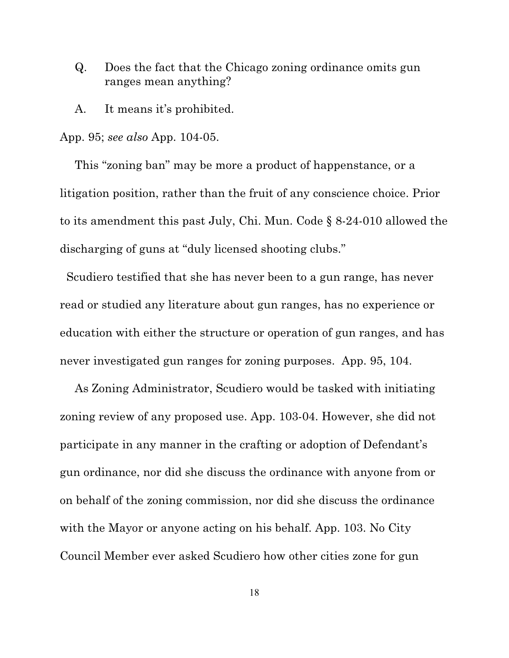- Q. Does the fact that the Chicago zoning ordinance omits gun ranges mean anything?
- A. It means it's prohibited.

#### App. 95; *see also* App. 104-05.

This "zoning ban" may be more a product of happenstance, or a litigation position, rather than the fruit of any conscience choice. Prior to its amendment this past July, Chi. Mun. Code § 8-24-010 allowed the discharging of guns at "duly licensed shooting clubs."

 Scudiero testified that she has never been to a gun range, has never read or studied any literature about gun ranges, has no experience or education with either the structure or operation of gun ranges, and has never investigated gun ranges for zoning purposes. App. 95, 104.

As Zoning Administrator, Scudiero would be tasked with initiating zoning review of any proposed use. App. 103-04. However, she did not participate in any manner in the crafting or adoption of Defendant's gun ordinance, nor did she discuss the ordinance with anyone from or on behalf of the zoning commission, nor did she discuss the ordinance with the Mayor or anyone acting on his behalf. App. 103. No City Council Member ever asked Scudiero how other cities zone for gun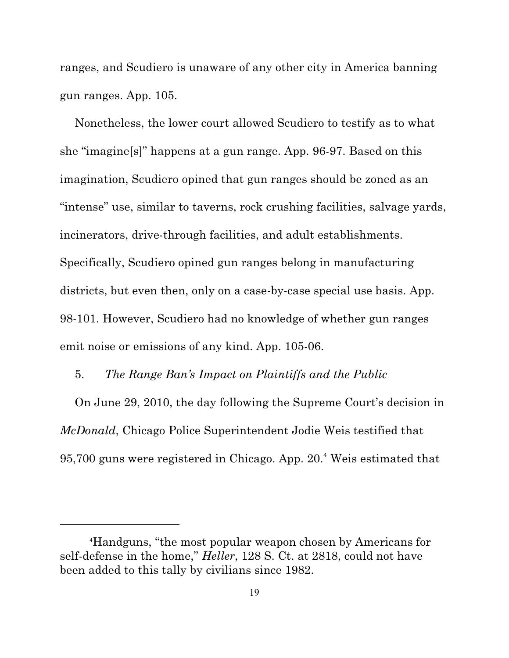ranges, and Scudiero is unaware of any other city in America banning gun ranges. App. 105.

Nonetheless, the lower court allowed Scudiero to testify as to what she "imagine[s]" happens at a gun range. App. 96-97. Based on this imagination, Scudiero opined that gun ranges should be zoned as an "intense" use, similar to taverns, rock crushing facilities, salvage yards, incinerators, drive-through facilities, and adult establishments. Specifically, Scudiero opined gun ranges belong in manufacturing districts, but even then, only on a case-by-case special use basis. App. 98-101. However, Scudiero had no knowledge of whether gun ranges emit noise or emissions of any kind. App. 105-06.

#### 5. *The Range Ban's Impact on Plaintiffs and the Public*

On June 29, 2010, the day following the Supreme Court's decision in *McDonald*, Chicago Police Superintendent Jodie Weis testified that 95,700 guns were registered in Chicago. App. 20.<sup>4</sup> Weis estimated that

Handguns, "the most popular weapon chosen by Americans for <sup>4</sup> self-defense in the home," *Heller*, 128 S. Ct. at 2818, could not have been added to this tally by civilians since 1982.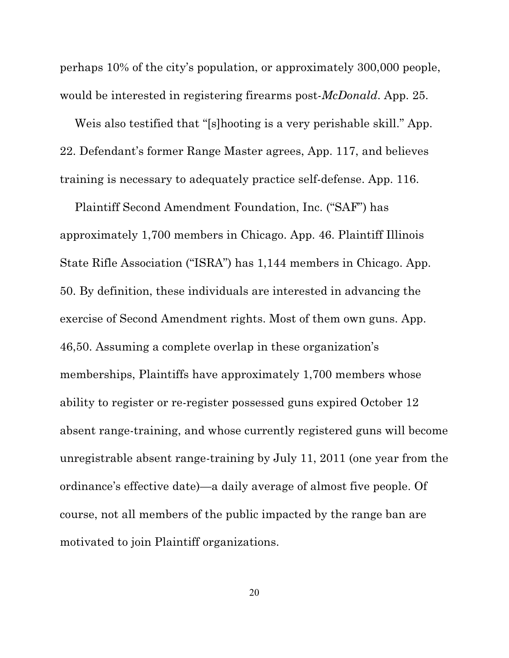perhaps 10% of the city's population, or approximately 300,000 people, would be interested in registering firearms post-*McDonald*. App. 25.

Weis also testified that "[s]hooting is a very perishable skill." App. 22. Defendant's former Range Master agrees, App. 117, and believes training is necessary to adequately practice self-defense. App. 116.

Plaintiff Second Amendment Foundation, Inc. ("SAF") has approximately 1,700 members in Chicago. App. 46. Plaintiff Illinois State Rifle Association ("ISRA") has 1,144 members in Chicago. App. 50. By definition, these individuals are interested in advancing the exercise of Second Amendment rights. Most of them own guns. App. 46,50. Assuming a complete overlap in these organization's memberships, Plaintiffs have approximately 1,700 members whose ability to register or re-register possessed guns expired October 12 absent range-training, and whose currently registered guns will become unregistrable absent range-training by July 11, 2011 (one year from the ordinance's effective date)—a daily average of almost five people. Of course, not all members of the public impacted by the range ban are motivated to join Plaintiff organizations.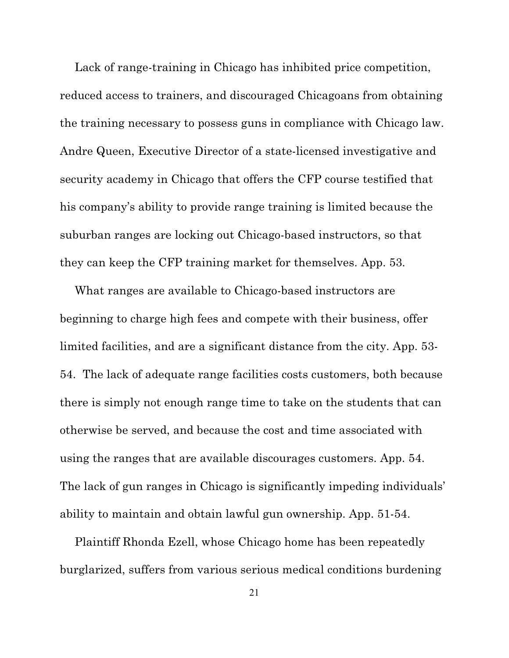Lack of range-training in Chicago has inhibited price competition, reduced access to trainers, and discouraged Chicagoans from obtaining the training necessary to possess guns in compliance with Chicago law. Andre Queen, Executive Director of a state-licensed investigative and security academy in Chicago that offers the CFP course testified that his company's ability to provide range training is limited because the suburban ranges are locking out Chicago-based instructors, so that they can keep the CFP training market for themselves. App. 53.

What ranges are available to Chicago-based instructors are beginning to charge high fees and compete with their business, offer limited facilities, and are a significant distance from the city. App. 53- 54. The lack of adequate range facilities costs customers, both because there is simply not enough range time to take on the students that can otherwise be served, and because the cost and time associated with using the ranges that are available discourages customers. App. 54. The lack of gun ranges in Chicago is significantly impeding individuals' ability to maintain and obtain lawful gun ownership. App. 51-54.

Plaintiff Rhonda Ezell, whose Chicago home has been repeatedly burglarized, suffers from various serious medical conditions burdening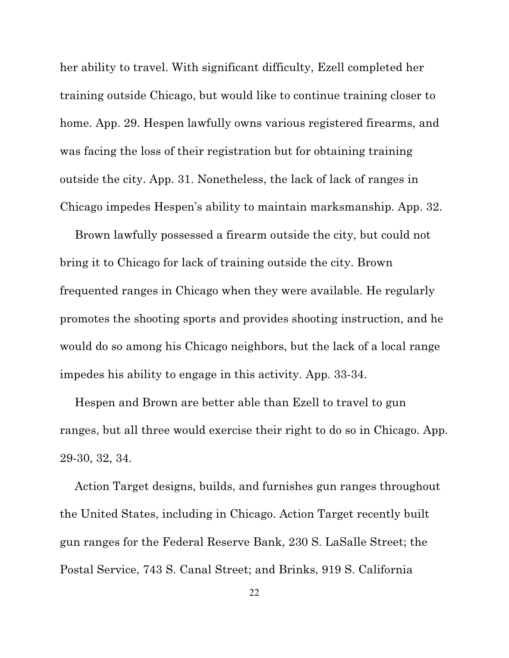her ability to travel. With significant difficulty, Ezell completed her training outside Chicago, but would like to continue training closer to home. App. 29. Hespen lawfully owns various registered firearms, and was facing the loss of their registration but for obtaining training outside the city. App. 31. Nonetheless, the lack of lack of ranges in Chicago impedes Hespen's ability to maintain marksmanship. App. 32.

Brown lawfully possessed a firearm outside the city, but could not bring it to Chicago for lack of training outside the city. Brown frequented ranges in Chicago when they were available. He regularly promotes the shooting sports and provides shooting instruction, and he would do so among his Chicago neighbors, but the lack of a local range impedes his ability to engage in this activity. App. 33-34.

Hespen and Brown are better able than Ezell to travel to gun ranges, but all three would exercise their right to do so in Chicago. App. 29-30, 32, 34.

Action Target designs, builds, and furnishes gun ranges throughout the United States, including in Chicago. Action Target recently built gun ranges for the Federal Reserve Bank, 230 S. LaSalle Street; the Postal Service, 743 S. Canal Street; and Brinks, 919 S. California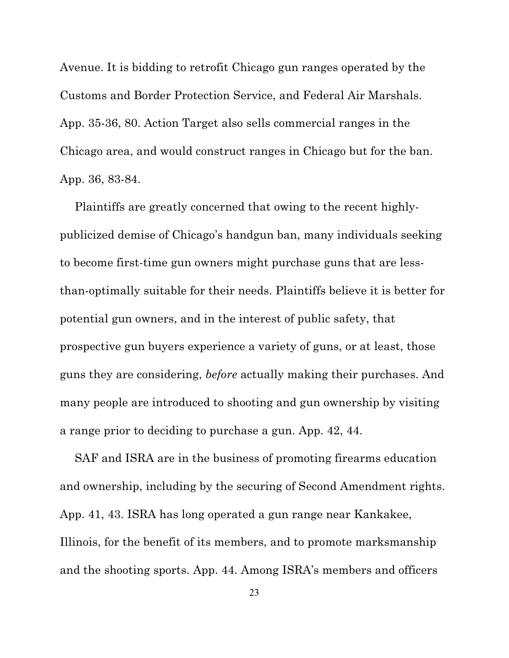Avenue. It is bidding to retrofit Chicago gun ranges operated by the Customs and Border Protection Service, and Federal Air Marshals. App. 35-36, 80. Action Target also sells commercial ranges in the Chicago area, and would construct ranges in Chicago but for the ban. App. 36, 83-84.

Plaintiffs are greatly concerned that owing to the recent highlypublicized demise of Chicago's handgun ban, many individuals seeking to become first-time gun owners might purchase guns that are lessthan-optimally suitable for their needs. Plaintiffs believe it is better for potential gun owners, and in the interest of public safety, that prospective gun buyers experience a variety of guns, or at least, those guns they are considering, *before* actually making their purchases. And many people are introduced to shooting and gun ownership by visiting a range prior to deciding to purchase a gun. App. 42, 44.

SAF and ISRA are in the business of promoting firearms education and ownership, including by the securing of Second Amendment rights. App. 41, 43. ISRA has long operated a gun range near Kankakee, Illinois, for the benefit of its members, and to promote marksmanship and the shooting sports. App. 44. Among ISRA's members and officers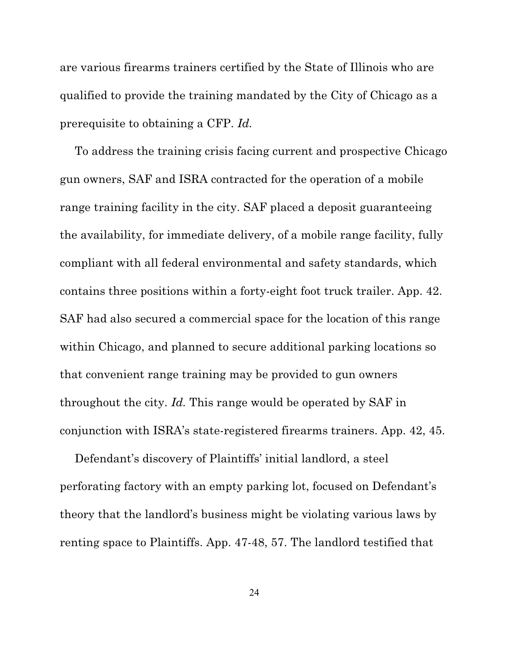are various firearms trainers certified by the State of Illinois who are qualified to provide the training mandated by the City of Chicago as a prerequisite to obtaining a CFP. *Id.*

To address the training crisis facing current and prospective Chicago gun owners, SAF and ISRA contracted for the operation of a mobile range training facility in the city. SAF placed a deposit guaranteeing the availability, for immediate delivery, of a mobile range facility, fully compliant with all federal environmental and safety standards, which contains three positions within a forty-eight foot truck trailer. App. 42. SAF had also secured a commercial space for the location of this range within Chicago, and planned to secure additional parking locations so that convenient range training may be provided to gun owners throughout the city. *Id.* This range would be operated by SAF in conjunction with ISRA's state-registered firearms trainers. App. 42, 45.

Defendant's discovery of Plaintiffs' initial landlord, a steel perforating factory with an empty parking lot, focused on Defendant's theory that the landlord's business might be violating various laws by renting space to Plaintiffs. App. 47-48, 57. The landlord testified that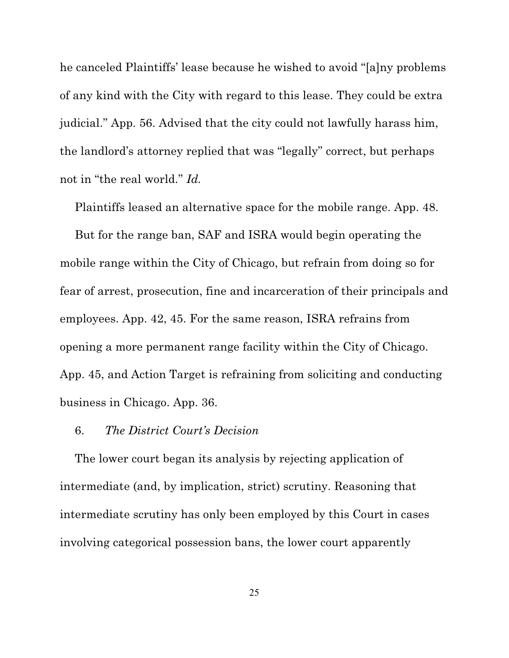he canceled Plaintiffs' lease because he wished to avoid "[a]ny problems of any kind with the City with regard to this lease. They could be extra judicial." App. 56. Advised that the city could not lawfully harass him, the landlord's attorney replied that was "legally" correct, but perhaps not in "the real world." *Id.*

Plaintiffs leased an alternative space for the mobile range. App. 48.

But for the range ban, SAF and ISRA would begin operating the mobile range within the City of Chicago, but refrain from doing so for fear of arrest, prosecution, fine and incarceration of their principals and employees. App. 42, 45. For the same reason, ISRA refrains from opening a more permanent range facility within the City of Chicago. App. 45, and Action Target is refraining from soliciting and conducting business in Chicago. App. 36.

### 6. *The District Court's Decision*

The lower court began its analysis by rejecting application of intermediate (and, by implication, strict) scrutiny. Reasoning that intermediate scrutiny has only been employed by this Court in cases involving categorical possession bans, the lower court apparently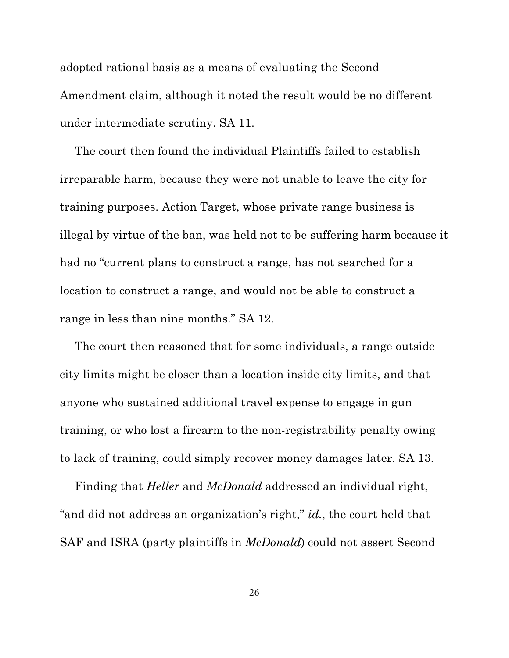adopted rational basis as a means of evaluating the Second Amendment claim, although it noted the result would be no different under intermediate scrutiny. SA 11.

The court then found the individual Plaintiffs failed to establish irreparable harm, because they were not unable to leave the city for training purposes. Action Target, whose private range business is illegal by virtue of the ban, was held not to be suffering harm because it had no "current plans to construct a range, has not searched for a location to construct a range, and would not be able to construct a range in less than nine months." SA 12.

The court then reasoned that for some individuals, a range outside city limits might be closer than a location inside city limits, and that anyone who sustained additional travel expense to engage in gun training, or who lost a firearm to the non-registrability penalty owing to lack of training, could simply recover money damages later. SA 13.

Finding that *Heller* and *McDonald* addressed an individual right, "and did not address an organization's right," *id.*, the court held that SAF and ISRA (party plaintiffs in *McDonald*) could not assert Second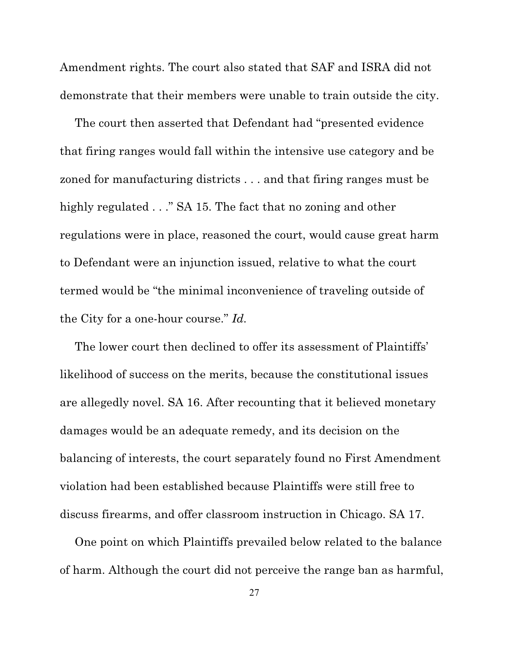Amendment rights. The court also stated that SAF and ISRA did not demonstrate that their members were unable to train outside the city.

The court then asserted that Defendant had "presented evidence that firing ranges would fall within the intensive use category and be zoned for manufacturing districts . . . and that firing ranges must be highly regulated . . ." SA 15. The fact that no zoning and other regulations were in place, reasoned the court, would cause great harm to Defendant were an injunction issued, relative to what the court termed would be "the minimal inconvenience of traveling outside of the City for a one-hour course." *Id.*

The lower court then declined to offer its assessment of Plaintiffs' likelihood of success on the merits, because the constitutional issues are allegedly novel. SA 16. After recounting that it believed monetary damages would be an adequate remedy, and its decision on the balancing of interests, the court separately found no First Amendment violation had been established because Plaintiffs were still free to discuss firearms, and offer classroom instruction in Chicago. SA 17.

One point on which Plaintiffs prevailed below related to the balance of harm. Although the court did not perceive the range ban as harmful,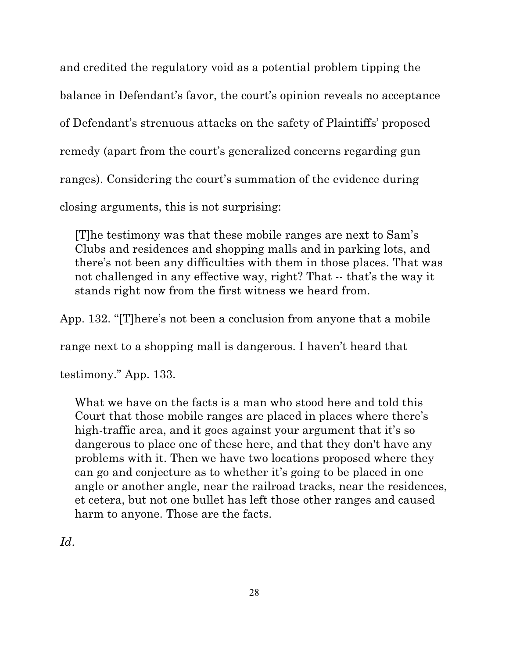and credited the regulatory void as a potential problem tipping the balance in Defendant's favor, the court's opinion reveals no acceptance of Defendant's strenuous attacks on the safety of Plaintiffs' proposed remedy (apart from the court's generalized concerns regarding gun ranges). Considering the court's summation of the evidence during closing arguments, this is not surprising:

[T]he testimony was that these mobile ranges are next to Sam's Clubs and residences and shopping malls and in parking lots, and there's not been any difficulties with them in those places. That was not challenged in any effective way, right? That -- that's the way it stands right now from the first witness we heard from.

App. 132. "[T]here's not been a conclusion from anyone that a mobile

range next to a shopping mall is dangerous. I haven't heard that

testimony." App. 133.

What we have on the facts is a man who stood here and told this Court that those mobile ranges are placed in places where there's high-traffic area, and it goes against your argument that it's so dangerous to place one of these here, and that they don't have any problems with it. Then we have two locations proposed where they can go and conjecture as to whether it's going to be placed in one angle or another angle, near the railroad tracks, near the residences, et cetera, but not one bullet has left those other ranges and caused harm to anyone. Those are the facts.

*Id*.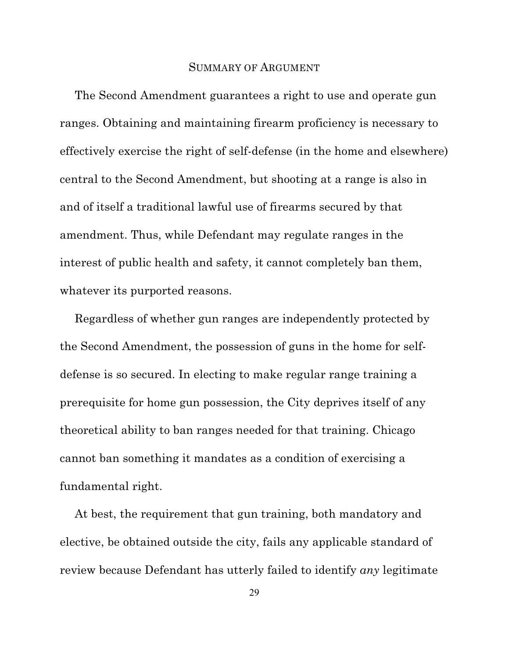### SUMMARY OF ARGUMENT

The Second Amendment guarantees a right to use and operate gun ranges. Obtaining and maintaining firearm proficiency is necessary to effectively exercise the right of self-defense (in the home and elsewhere) central to the Second Amendment, but shooting at a range is also in and of itself a traditional lawful use of firearms secured by that amendment. Thus, while Defendant may regulate ranges in the interest of public health and safety, it cannot completely ban them, whatever its purported reasons.

Regardless of whether gun ranges are independently protected by the Second Amendment, the possession of guns in the home for selfdefense is so secured. In electing to make regular range training a prerequisite for home gun possession, the City deprives itself of any theoretical ability to ban ranges needed for that training. Chicago cannot ban something it mandates as a condition of exercising a fundamental right.

At best, the requirement that gun training, both mandatory and elective, be obtained outside the city, fails any applicable standard of review because Defendant has utterly failed to identify *any* legitimate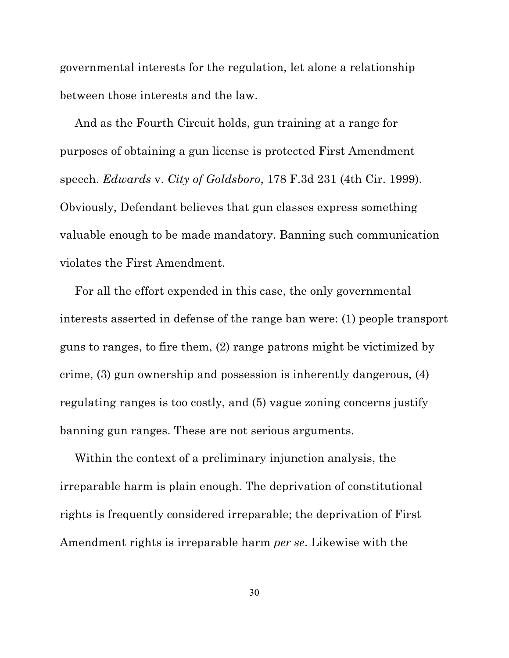governmental interests for the regulation, let alone a relationship between those interests and the law.

And as the Fourth Circuit holds, gun training at a range for purposes of obtaining a gun license is protected First Amendment speech. *Edwards* v. *City of Goldsboro*, 178 F.3d 231 (4th Cir. 1999). Obviously, Defendant believes that gun classes express something valuable enough to be made mandatory. Banning such communication violates the First Amendment.

For all the effort expended in this case, the only governmental interests asserted in defense of the range ban were: (1) people transport guns to ranges, to fire them, (2) range patrons might be victimized by crime, (3) gun ownership and possession is inherently dangerous, (4) regulating ranges is too costly, and (5) vague zoning concerns justify banning gun ranges. These are not serious arguments.

Within the context of a preliminary injunction analysis, the irreparable harm is plain enough. The deprivation of constitutional rights is frequently considered irreparable; the deprivation of First Amendment rights is irreparable harm *per se*. Likewise with the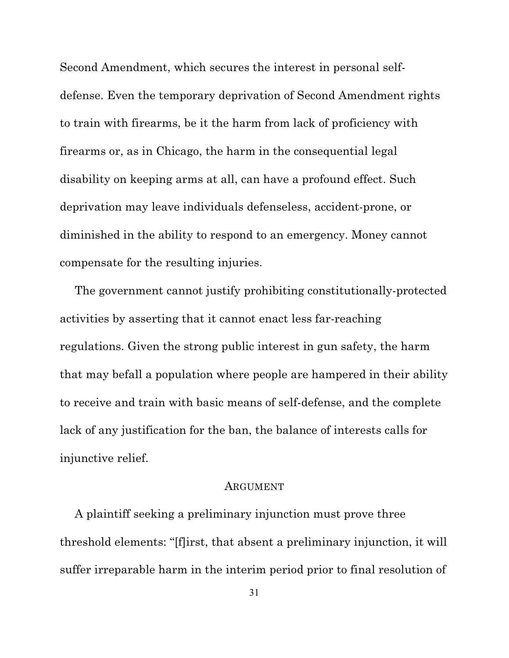Second Amendment, which secures the interest in personal selfdefense. Even the temporary deprivation of Second Amendment rights to train with firearms, be it the harm from lack of proficiency with firearms or, as in Chicago, the harm in the consequential legal disability on keeping arms at all, can have a profound effect. Such deprivation may leave individuals defenseless, accident-prone, or diminished in the ability to respond to an emergency. Money cannot compensate for the resulting injuries.

The government cannot justify prohibiting constitutionally-protected activities by asserting that it cannot enact less far-reaching regulations. Given the strong public interest in gun safety, the harm that may befall a population where people are hampered in their ability to receive and train with basic means of self-defense, and the complete lack of any justification for the ban, the balance of interests calls for injunctive relief.

#### ARGUMENT

A plaintiff seeking a preliminary injunction must prove three threshold elements: "[f]irst, that absent a preliminary injunction, it will suffer irreparable harm in the interim period prior to final resolution of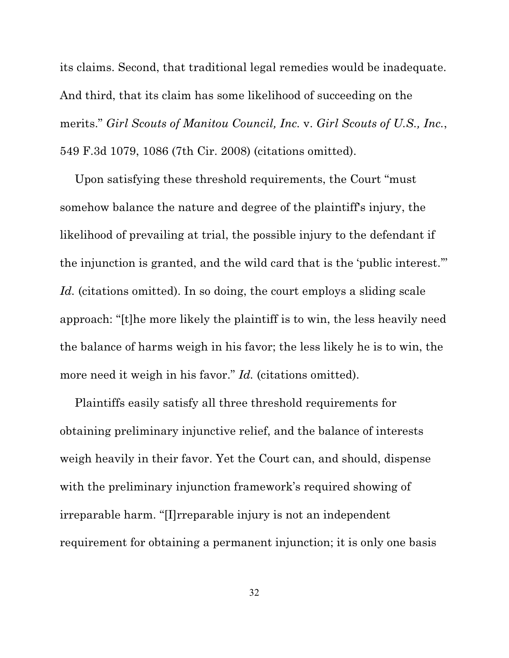its claims. Second, that traditional legal remedies would be inadequate. And third, that its claim has some likelihood of succeeding on the merits." *Girl Scouts of Manitou Council, Inc.* v. *Girl Scouts of U.S., Inc.*, 549 F.3d 1079, 1086 (7th Cir. 2008) (citations omitted).

Upon satisfying these threshold requirements, the Court "must somehow balance the nature and degree of the plaintiff's injury, the likelihood of prevailing at trial, the possible injury to the defendant if the injunction is granted, and the wild card that is the 'public interest.'" Id. (citations omitted). In so doing, the court employs a sliding scale approach: "[t]he more likely the plaintiff is to win, the less heavily need the balance of harms weigh in his favor; the less likely he is to win, the more need it weigh in his favor." *Id.* (citations omitted).

Plaintiffs easily satisfy all three threshold requirements for obtaining preliminary injunctive relief, and the balance of interests weigh heavily in their favor. Yet the Court can, and should, dispense with the preliminary injunction framework's required showing of irreparable harm. "[I]rreparable injury is not an independent requirement for obtaining a permanent injunction; it is only one basis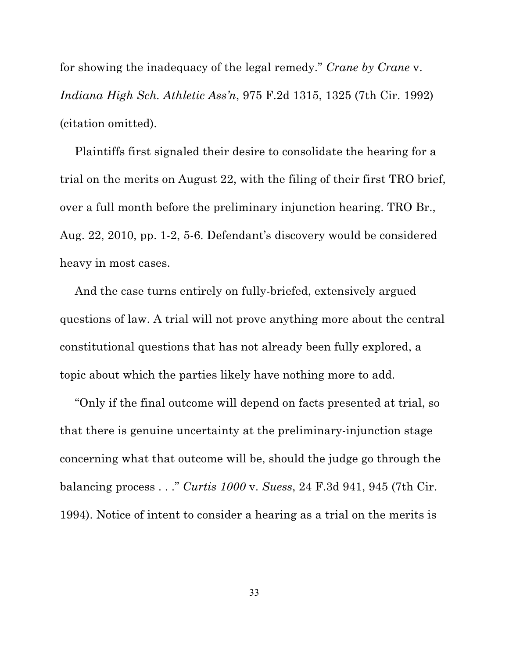for showing the inadequacy of the legal remedy." *Crane by Crane* v. *Indiana High Sch. Athletic Ass'n*, 975 F.2d 1315, 1325 (7th Cir. 1992) (citation omitted).

Plaintiffs first signaled their desire to consolidate the hearing for a trial on the merits on August 22, with the filing of their first TRO brief, over a full month before the preliminary injunction hearing. TRO Br., Aug. 22, 2010, pp. 1-2, 5-6. Defendant's discovery would be considered heavy in most cases.

And the case turns entirely on fully-briefed, extensively argued questions of law. A trial will not prove anything more about the central constitutional questions that has not already been fully explored, a topic about which the parties likely have nothing more to add.

"Only if the final outcome will depend on facts presented at trial, so that there is genuine uncertainty at the preliminary-injunction stage concerning what that outcome will be, should the judge go through the balancing process . . ." *Curtis 1000* v. *Suess*, 24 F.3d 941, 945 (7th Cir. 1994). Notice of intent to consider a hearing as a trial on the merits is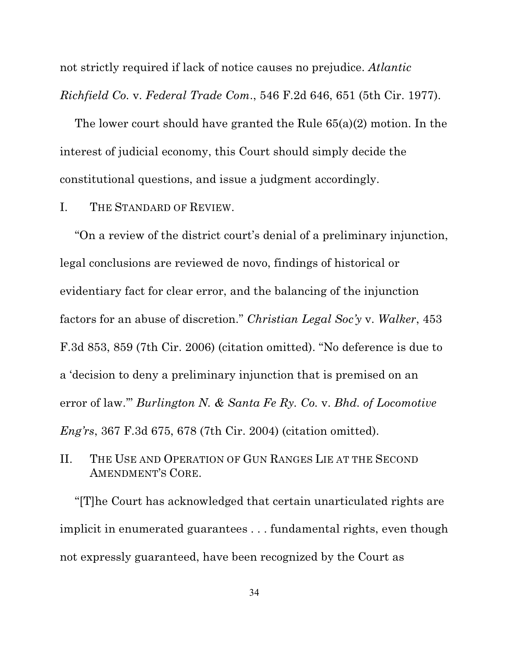not strictly required if lack of notice causes no prejudice. *Atlantic Richfield Co.* v. *Federal Trade Com*., 546 F.2d 646, 651 (5th Cir. 1977).

The lower court should have granted the Rule 65(a)(2) motion. In the interest of judicial economy, this Court should simply decide the constitutional questions, and issue a judgment accordingly.

## I. THE STANDARD OF REVIEW.

"On a review of the district court's denial of a preliminary injunction, legal conclusions are reviewed de novo, findings of historical or evidentiary fact for clear error, and the balancing of the injunction factors for an abuse of discretion." *Christian Legal Soc'y* v. *Walker*, 453 F.3d 853, 859 (7th Cir. 2006) (citation omitted). "No deference is due to a 'decision to deny a preliminary injunction that is premised on an error of law.'" *Burlington N. & Santa Fe Ry. Co.* v. *Bhd. of Locomotive Eng'rs*, 367 F.3d 675, 678 (7th Cir. 2004) (citation omitted).

# II. THE USE AND OPERATION OF GUN RANGES LIE AT THE SECOND AMENDMENT'S CORE.

"[T]he Court has acknowledged that certain unarticulated rights are implicit in enumerated guarantees . . . fundamental rights, even though not expressly guaranteed, have been recognized by the Court as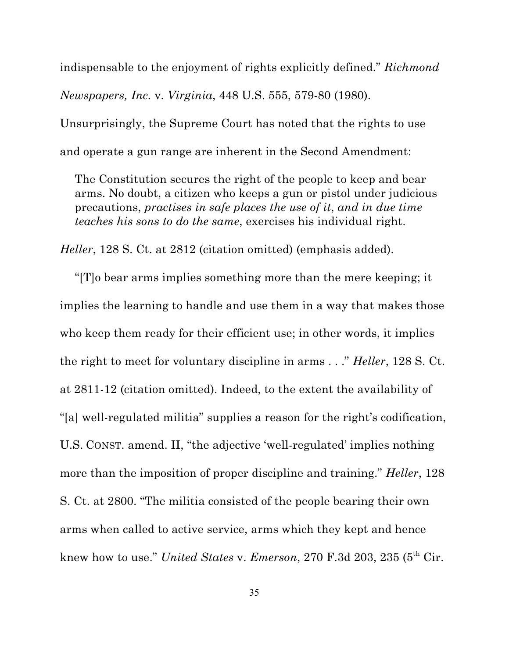indispensable to the enjoyment of rights explicitly defined." *Richmond Newspapers, Inc.* v. *Virginia*, 448 U.S. 555, 579-80 (1980).

Unsurprisingly, the Supreme Court has noted that the rights to use

and operate a gun range are inherent in the Second Amendment:

The Constitution secures the right of the people to keep and bear arms. No doubt, a citizen who keeps a gun or pistol under judicious precautions, *practises in safe places the use of it*, *and in due time teaches his sons to do the same*, exercises his individual right.

*Heller*, 128 S. Ct. at 2812 (citation omitted) (emphasis added).

"[T]o bear arms implies something more than the mere keeping; it implies the learning to handle and use them in a way that makes those who keep them ready for their efficient use; in other words, it implies the right to meet for voluntary discipline in arms . . ." *Heller*, 128 S. Ct. at 2811-12 (citation omitted). Indeed, to the extent the availability of "[a] well-regulated militia" supplies a reason for the right's codification, U.S. CONST. amend. II, "the adjective 'well-regulated' implies nothing more than the imposition of proper discipline and training." *Heller*, 128 S. Ct. at 2800. "The militia consisted of the people bearing their own arms when called to active service, arms which they kept and hence knew how to use." *United States* v. *Emerson*, 270 F.3d 203, 235 (5<sup>th</sup> Cir.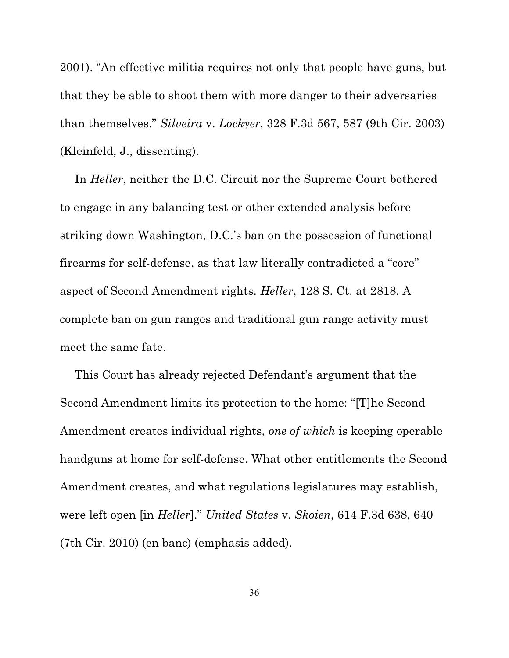2001). "An effective militia requires not only that people have guns, but that they be able to shoot them with more danger to their adversaries than themselves." *Silveira* v. *Lockyer*, 328 F.3d 567, 587 (9th Cir. 2003) (Kleinfeld, J., dissenting).

In *Heller*, neither the D.C. Circuit nor the Supreme Court bothered to engage in any balancing test or other extended analysis before striking down Washington, D.C.'s ban on the possession of functional firearms for self-defense, as that law literally contradicted a "core" aspect of Second Amendment rights. *Heller*, 128 S. Ct. at 2818. A complete ban on gun ranges and traditional gun range activity must meet the same fate.

This Court has already rejected Defendant's argument that the Second Amendment limits its protection to the home: "[T]he Second Amendment creates individual rights, *one of which* is keeping operable handguns at home for self-defense. What other entitlements the Second Amendment creates, and what regulations legislatures may establish, were left open [in *Heller*]." *United States* v. *Skoien*, 614 F.3d 638, 640 (7th Cir. 2010) (en banc) (emphasis added).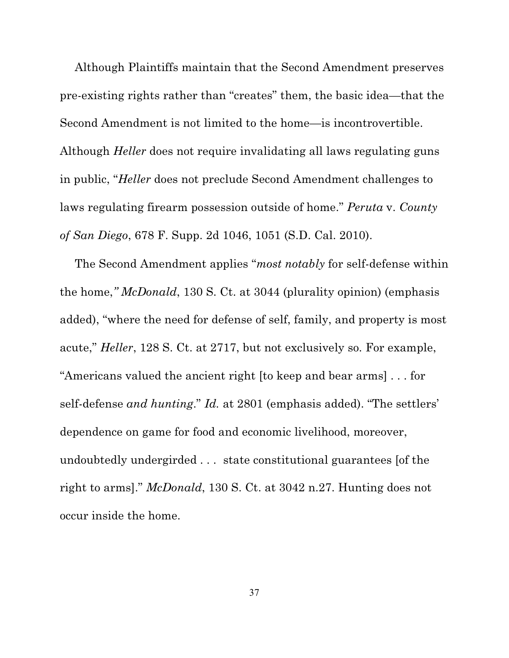Although Plaintiffs maintain that the Second Amendment preserves pre-existing rights rather than "creates" them, the basic idea—that the Second Amendment is not limited to the home—is incontrovertible. Although *Heller* does not require invalidating all laws regulating guns in public, "*Heller* does not preclude Second Amendment challenges to laws regulating firearm possession outside of home." *Peruta* v. *County of San Diego*, 678 F. Supp. 2d 1046, 1051 (S.D. Cal. 2010).

The Second Amendment applies "*most notably* for self-defense within the home,*" McDonald*, 130 S. Ct. at 3044 (plurality opinion) (emphasis added), "where the need for defense of self, family, and property is most acute," *Heller*, 128 S. Ct. at 2717, but not exclusively so. For example, "Americans valued the ancient right [to keep and bear arms] . . . for self-defense *and hunting*." *Id.* at 2801 (emphasis added). "The settlers' dependence on game for food and economic livelihood, moreover, undoubtedly undergirded . . . state constitutional guarantees [of the right to arms]." *McDonald*, 130 S. Ct. at 3042 n.27. Hunting does not occur inside the home.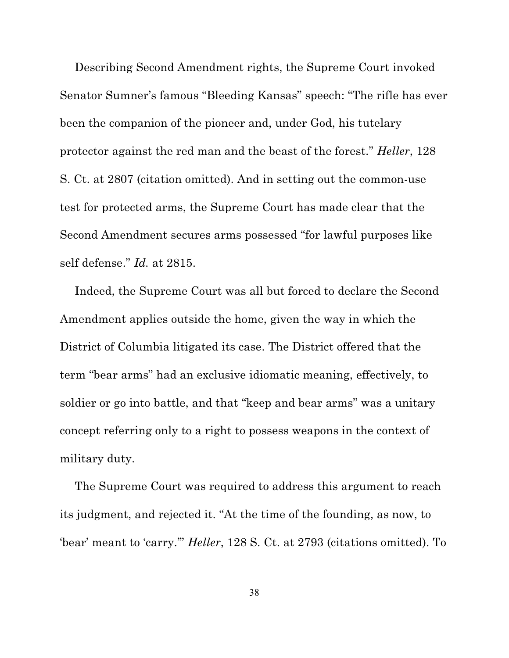Describing Second Amendment rights, the Supreme Court invoked Senator Sumner's famous "Bleeding Kansas" speech: "The rifle has ever been the companion of the pioneer and, under God, his tutelary protector against the red man and the beast of the forest." *Heller*, 128 S. Ct. at 2807 (citation omitted). And in setting out the common-use test for protected arms, the Supreme Court has made clear that the Second Amendment secures arms possessed "for lawful purposes like self defense." *Id.* at 2815.

Indeed, the Supreme Court was all but forced to declare the Second Amendment applies outside the home, given the way in which the District of Columbia litigated its case. The District offered that the term "bear arms" had an exclusive idiomatic meaning, effectively, to soldier or go into battle, and that "keep and bear arms" was a unitary concept referring only to a right to possess weapons in the context of military duty.

The Supreme Court was required to address this argument to reach its judgment, and rejected it. "At the time of the founding, as now, to 'bear' meant to 'carry.'" *Heller*, 128 S. Ct. at 2793 (citations omitted). To

38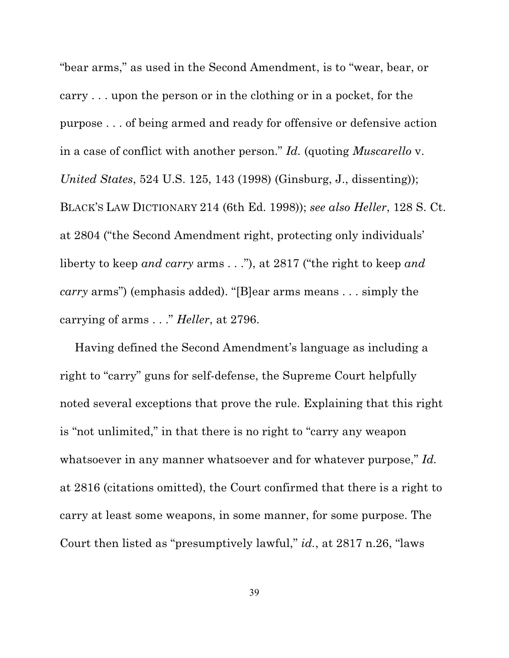"bear arms," as used in the Second Amendment, is to "wear, bear, or carry . . . upon the person or in the clothing or in a pocket, for the purpose . . . of being armed and ready for offensive or defensive action in a case of conflict with another person." *Id.* (quoting *Muscarello* v. *United States*, 524 U.S. 125, 143 (1998) (Ginsburg, J., dissenting)); BLACK'S LAW DICTIONARY 214 (6th Ed. 1998)); *see also Heller*, 128 S. Ct. at 2804 ("the Second Amendment right, protecting only individuals' liberty to keep *and carry* arms . . ."), at 2817 ("the right to keep *and carry* arms") (emphasis added). "[B]ear arms means . . . simply the carrying of arms . . ." *Heller*, at 2796.

Having defined the Second Amendment's language as including a right to "carry" guns for self-defense, the Supreme Court helpfully noted several exceptions that prove the rule. Explaining that this right is "not unlimited," in that there is no right to "carry any weapon whatsoever in any manner whatsoever and for whatever purpose," *Id.* at 2816 (citations omitted), the Court confirmed that there is a right to carry at least some weapons, in some manner, for some purpose. The Court then listed as "presumptively lawful," *id.*, at 2817 n.26, "laws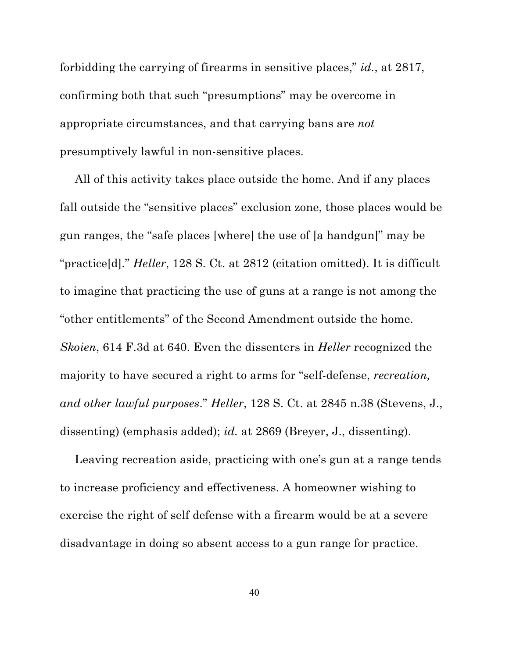forbidding the carrying of firearms in sensitive places," *id.*, at 2817, confirming both that such "presumptions" may be overcome in appropriate circumstances, and that carrying bans are *not* presumptively lawful in non-sensitive places.

All of this activity takes place outside the home. And if any places fall outside the "sensitive places" exclusion zone, those places would be gun ranges, the "safe places [where] the use of [a handgun]" may be "practice[d]." *Heller*, 128 S. Ct. at 2812 (citation omitted). It is difficult to imagine that practicing the use of guns at a range is not among the "other entitlements" of the Second Amendment outside the home. *Skoien*, 614 F.3d at 640. Even the dissenters in *Heller* recognized the majority to have secured a right to arms for "self-defense, *recreation, and other lawful purposes*." *Heller*, 128 S. Ct. at 2845 n.38 (Stevens, J., dissenting) (emphasis added); *id.* at 2869 (Breyer, J., dissenting).

Leaving recreation aside, practicing with one's gun at a range tends to increase proficiency and effectiveness. A homeowner wishing to exercise the right of self defense with a firearm would be at a severe disadvantage in doing so absent access to a gun range for practice.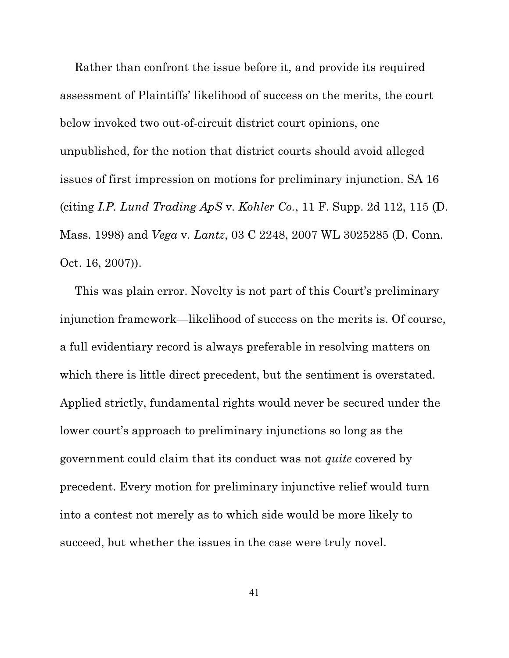Rather than confront the issue before it, and provide its required assessment of Plaintiffs' likelihood of success on the merits, the court below invoked two out-of-circuit district court opinions, one unpublished, for the notion that district courts should avoid alleged issues of first impression on motions for preliminary injunction. SA 16 (citing *I.P. Lund Trading ApS* v*. Kohler Co.*, 11 F. Supp. 2d 112, 115 (D. Mass. 1998) and *Vega* v*. Lantz*, 03 C 2248, 2007 WL 3025285 (D. Conn. Oct. 16, 2007)).

This was plain error. Novelty is not part of this Court's preliminary injunction framework—likelihood of success on the merits is. Of course, a full evidentiary record is always preferable in resolving matters on which there is little direct precedent, but the sentiment is overstated. Applied strictly, fundamental rights would never be secured under the lower court's approach to preliminary injunctions so long as the government could claim that its conduct was not *quite* covered by precedent. Every motion for preliminary injunctive relief would turn into a contest not merely as to which side would be more likely to succeed, but whether the issues in the case were truly novel.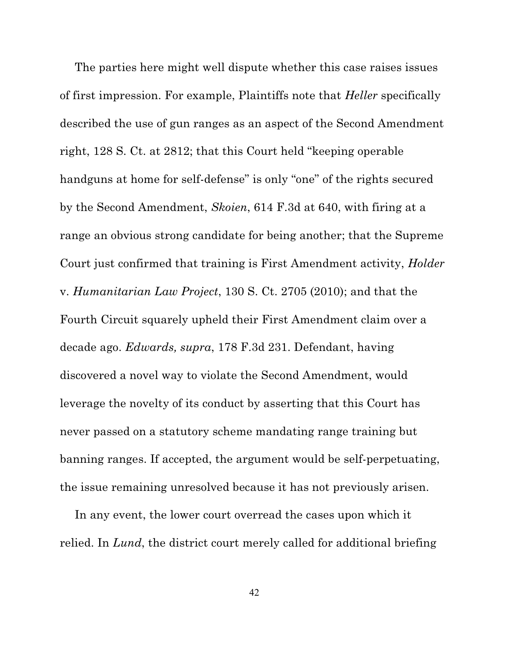The parties here might well dispute whether this case raises issues of first impression. For example, Plaintiffs note that *Heller* specifically described the use of gun ranges as an aspect of the Second Amendment right, 128 S. Ct. at 2812; that this Court held "keeping operable handguns at home for self-defense" is only "one" of the rights secured by the Second Amendment, *Skoien*, 614 F.3d at 640, with firing at a range an obvious strong candidate for being another; that the Supreme Court just confirmed that training is First Amendment activity, *Holder* v. *Humanitarian Law Project*, 130 S. Ct. 2705 (2010); and that the Fourth Circuit squarely upheld their First Amendment claim over a decade ago. *Edwards, supra*, 178 F.3d 231. Defendant, having discovered a novel way to violate the Second Amendment, would leverage the novelty of its conduct by asserting that this Court has never passed on a statutory scheme mandating range training but banning ranges. If accepted, the argument would be self-perpetuating, the issue remaining unresolved because it has not previously arisen.

In any event, the lower court overread the cases upon which it relied. In *Lund*, the district court merely called for additional briefing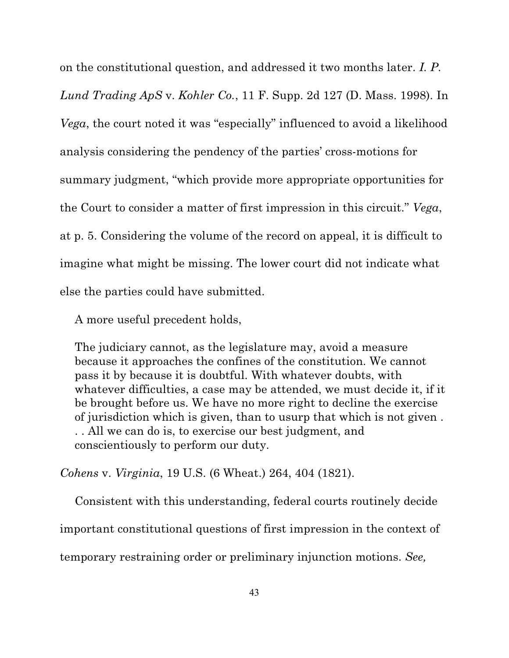on the constitutional question, and addressed it two months later. *I. P. Lund Trading ApS* v. *Kohler Co.*, 11 F. Supp. 2d 127 (D. Mass. 1998). In *Vega*, the court noted it was "especially" influenced to avoid a likelihood analysis considering the pendency of the parties' cross-motions for summary judgment, "which provide more appropriate opportunities for the Court to consider a matter of first impression in this circuit." *Vega*, at p. 5. Considering the volume of the record on appeal, it is difficult to imagine what might be missing. The lower court did not indicate what else the parties could have submitted.

A more useful precedent holds,

The judiciary cannot, as the legislature may, avoid a measure because it approaches the confines of the constitution. We cannot pass it by because it is doubtful. With whatever doubts, with whatever difficulties, a case may be attended, we must decide it, if it be brought before us. We have no more right to decline the exercise of jurisdiction which is given, than to usurp that which is not given . . . All we can do is, to exercise our best judgment, and conscientiously to perform our duty.

*Cohens* v. *Virginia*, 19 U.S. (6 Wheat.) 264, 404 (1821).

Consistent with this understanding, federal courts routinely decide important constitutional questions of first impression in the context of temporary restraining order or preliminary injunction motions. *See,*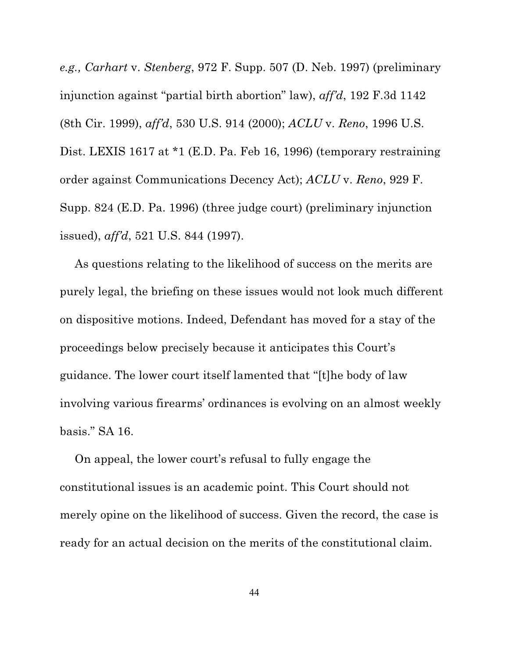*e.g., Carhart* v. *Stenberg*, 972 F. Supp. 507 (D. Neb. 1997) (preliminary injunction against "partial birth abortion" law), *aff'd*, 192 F.3d 1142 (8th Cir. 1999), *aff'd*, 530 U.S. 914 (2000); *ACLU* v. *Reno*, 1996 U.S. Dist. LEXIS 1617 at \*1 (E.D. Pa. Feb 16, 1996) (temporary restraining order against Communications Decency Act); *ACLU* v. *Reno*, 929 F. Supp. 824 (E.D. Pa. 1996) (three judge court) (preliminary injunction issued), *aff'd*, 521 U.S. 844 (1997).

As questions relating to the likelihood of success on the merits are purely legal, the briefing on these issues would not look much different on dispositive motions. Indeed, Defendant has moved for a stay of the proceedings below precisely because it anticipates this Court's guidance. The lower court itself lamented that "[t]he body of law involving various firearms' ordinances is evolving on an almost weekly basis." SA 16.

On appeal, the lower court's refusal to fully engage the constitutional issues is an academic point. This Court should not merely opine on the likelihood of success. Given the record, the case is ready for an actual decision on the merits of the constitutional claim.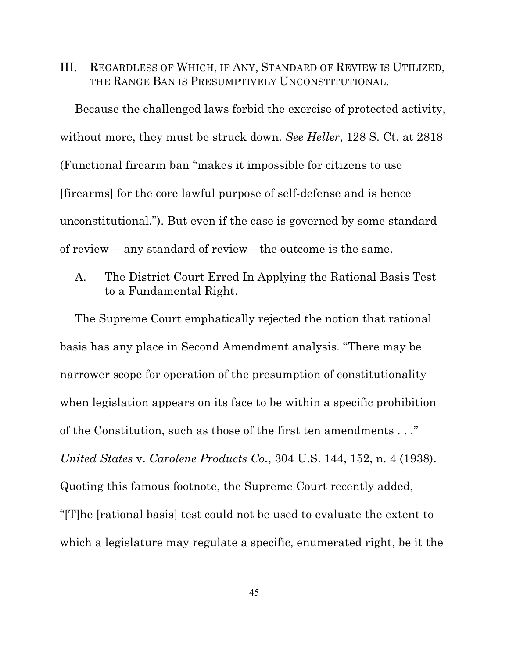III. REGARDLESS OF WHICH, IF ANY, STANDARD OF REVIEW IS UTILIZED, THE RANGE BAN IS PRESUMPTIVELY UNCONSTITUTIONAL.

Because the challenged laws forbid the exercise of protected activity, without more, they must be struck down. *See Heller*, 128 S. Ct. at 2818 (Functional firearm ban "makes it impossible for citizens to use [firearms] for the core lawful purpose of self-defense and is hence unconstitutional."). But even if the case is governed by some standard of review— any standard of review—the outcome is the same.

A. The District Court Erred In Applying the Rational Basis Test to a Fundamental Right.

The Supreme Court emphatically rejected the notion that rational basis has any place in Second Amendment analysis. "There may be narrower scope for operation of the presumption of constitutionality when legislation appears on its face to be within a specific prohibition of the Constitution, such as those of the first ten amendments . . ." *United States* v. *Carolene Products Co.*, 304 U.S. 144, 152, n. 4 (1938). Quoting this famous footnote, the Supreme Court recently added, "[T]he [rational basis] test could not be used to evaluate the extent to which a legislature may regulate a specific, enumerated right, be it the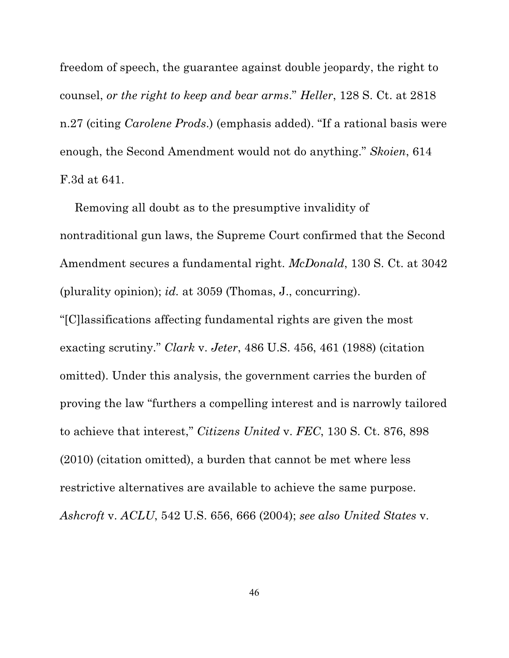freedom of speech, the guarantee against double jeopardy, the right to counsel, *or the right to keep and bear arms*." *Heller*, 128 S. Ct. at 2818 n.27 (citing *Carolene Prods*.) (emphasis added). "If a rational basis were enough, the Second Amendment would not do anything." *Skoien*, 614 F.3d at 641.

Removing all doubt as to the presumptive invalidity of nontraditional gun laws, the Supreme Court confirmed that the Second Amendment secures a fundamental right. *McDonald*, 130 S. Ct. at 3042 (plurality opinion); *id.* at 3059 (Thomas, J., concurring). "[C]lassifications affecting fundamental rights are given the most exacting scrutiny." *Clark* v. *Jeter*, 486 U.S. 456, 461 (1988) (citation omitted). Under this analysis, the government carries the burden of proving the law "furthers a compelling interest and is narrowly tailored to achieve that interest," *Citizens United* v. *FEC*, 130 S. Ct. 876, 898 (2010) (citation omitted), a burden that cannot be met where less restrictive alternatives are available to achieve the same purpose. *Ashcroft* v. *ACLU*, 542 U.S. 656, 666 (2004); *see also United States* v.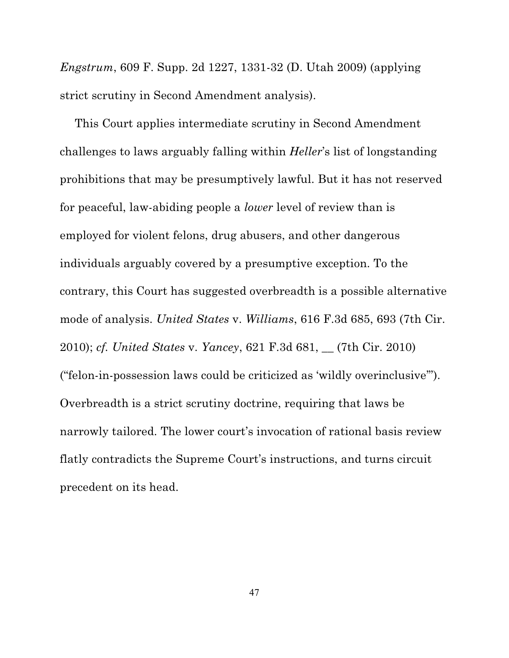*Engstrum*, 609 F. Supp. 2d 1227, 1331-32 (D. Utah 2009) (applying strict scrutiny in Second Amendment analysis).

This Court applies intermediate scrutiny in Second Amendment challenges to laws arguably falling within *Heller*'s list of longstanding prohibitions that may be presumptively lawful. But it has not reserved for peaceful, law-abiding people a *lower* level of review than is employed for violent felons, drug abusers, and other dangerous individuals arguably covered by a presumptive exception. To the contrary, this Court has suggested overbreadth is a possible alternative mode of analysis. *United States* v. *Williams*, 616 F.3d 685, 693 (7th Cir. 2010); *cf. United States* v. *Yancey*, 621 F.3d 681, \_\_ (7th Cir. 2010) ("felon-in-possession laws could be criticized as 'wildly overinclusive'"). Overbreadth is a strict scrutiny doctrine, requiring that laws be narrowly tailored. The lower court's invocation of rational basis review flatly contradicts the Supreme Court's instructions, and turns circuit precedent on its head.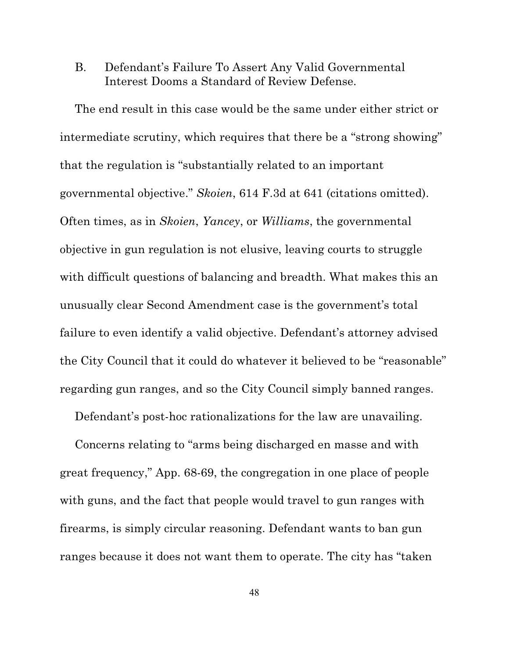# B. Defendant's Failure To Assert Any Valid Governmental Interest Dooms a Standard of Review Defense.

The end result in this case would be the same under either strict or intermediate scrutiny, which requires that there be a "strong showing" that the regulation is "substantially related to an important governmental objective." *Skoien*, 614 F.3d at 641 (citations omitted). Often times, as in *Skoien*, *Yancey*, or *Williams*, the governmental objective in gun regulation is not elusive, leaving courts to struggle with difficult questions of balancing and breadth. What makes this an unusually clear Second Amendment case is the government's total failure to even identify a valid objective. Defendant's attorney advised the City Council that it could do whatever it believed to be "reasonable" regarding gun ranges, and so the City Council simply banned ranges.

Defendant's post-hoc rationalizations for the law are unavailing.

Concerns relating to "arms being discharged en masse and with great frequency," App. 68-69, the congregation in one place of people with guns, and the fact that people would travel to gun ranges with firearms, is simply circular reasoning. Defendant wants to ban gun ranges because it does not want them to operate. The city has "taken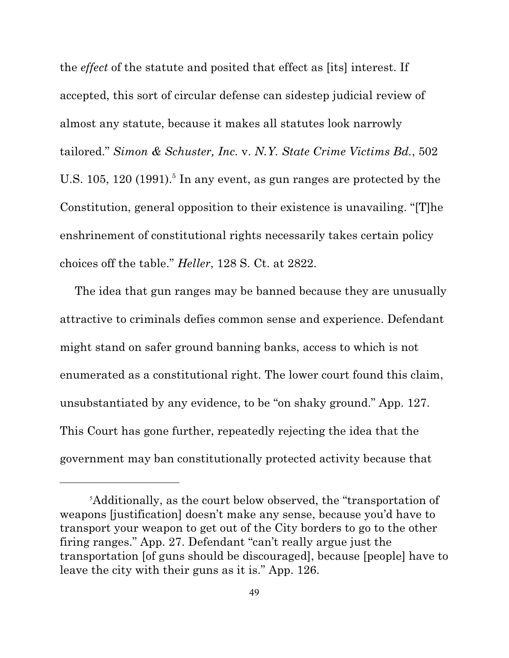the *effect* of the statute and posited that effect as [its] interest. If accepted, this sort of circular defense can sidestep judicial review of almost any statute, because it makes all statutes look narrowly tailored." *Simon & Schuster, Inc.* v. *N.Y. State Crime Victims Bd.*, 502 U.S. 105, 120 (1991).<sup>5</sup> In any event, as gun ranges are protected by the Constitution, general opposition to their existence is unavailing. "[T]he enshrinement of constitutional rights necessarily takes certain policy choices off the table." *Heller*, 128 S. Ct. at 2822.

The idea that gun ranges may be banned because they are unusually attractive to criminals defies common sense and experience. Defendant might stand on safer ground banning banks, access to which is not enumerated as a constitutional right. The lower court found this claim, unsubstantiated by any evidence, to be "on shaky ground." App. 127. This Court has gone further, repeatedly rejecting the idea that the government may ban constitutionally protected activity because that

 ${}^{\text{s}}$ Additionally, as the court below observed, the "transportation of weapons [justification] doesn't make any sense, because you'd have to transport your weapon to get out of the City borders to go to the other firing ranges." App. 27. Defendant "can't really argue just the transportation [of guns should be discouraged], because [people] have to leave the city with their guns as it is." App. 126.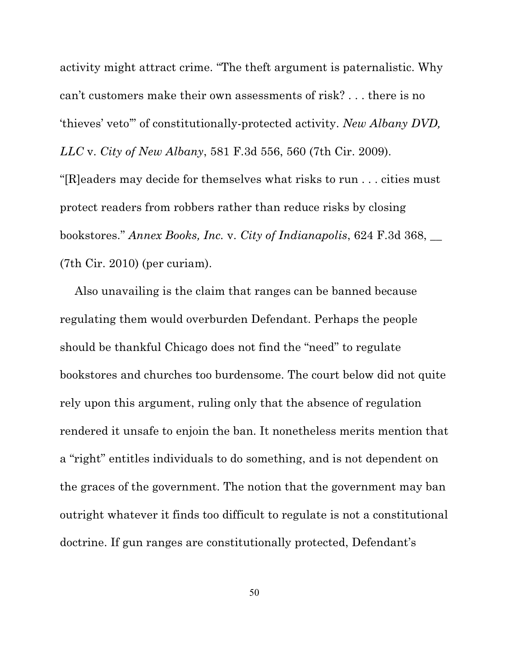activity might attract crime. "The theft argument is paternalistic. Why can't customers make their own assessments of risk? . . . there is no 'thieves' veto'" of constitutionally-protected activity. *New Albany DVD, LLC* v. *City of New Albany*, 581 F.3d 556, 560 (7th Cir. 2009).

"[R]eaders may decide for themselves what risks to run . . . cities must protect readers from robbers rather than reduce risks by closing bookstores." *Annex Books, Inc.* v. *City of Indianapolis*, 624 F.3d 368, \_\_ (7th Cir. 2010) (per curiam).

Also unavailing is the claim that ranges can be banned because regulating them would overburden Defendant. Perhaps the people should be thankful Chicago does not find the "need" to regulate bookstores and churches too burdensome. The court below did not quite rely upon this argument, ruling only that the absence of regulation rendered it unsafe to enjoin the ban. It nonetheless merits mention that a "right" entitles individuals to do something, and is not dependent on the graces of the government. The notion that the government may ban outright whatever it finds too difficult to regulate is not a constitutional doctrine. If gun ranges are constitutionally protected, Defendant's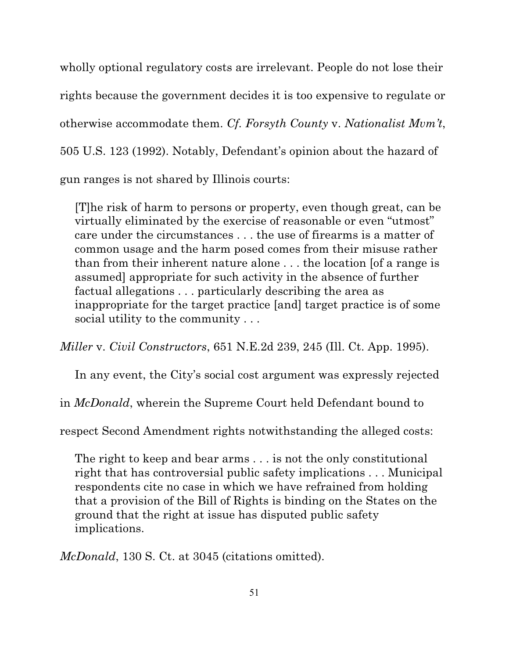wholly optional regulatory costs are irrelevant. People do not lose their rights because the government decides it is too expensive to regulate or otherwise accommodate them. *Cf. Forsyth County* v. *Nationalist Mvm't*, 505 U.S. 123 (1992). Notably, Defendant's opinion about the hazard of gun ranges is not shared by Illinois courts:

[T]he risk of harm to persons or property, even though great, can be virtually eliminated by the exercise of reasonable or even "utmost" care under the circumstances . . . the use of firearms is a matter of common usage and the harm posed comes from their misuse rather than from their inherent nature alone . . . the location [of a range is assumed] appropriate for such activity in the absence of further factual allegations . . . particularly describing the area as inappropriate for the target practice [and] target practice is of some social utility to the community . . .

*Miller* v. *Civil Constructors*, 651 N.E.2d 239, 245 (Ill. Ct. App. 1995).

In any event, the City's social cost argument was expressly rejected

in *McDonald*, wherein the Supreme Court held Defendant bound to

respect Second Amendment rights notwithstanding the alleged costs:

The right to keep and bear arms . . . is not the only constitutional right that has controversial public safety implications . . . Municipal respondents cite no case in which we have refrained from holding that a provision of the Bill of Rights is binding on the States on the ground that the right at issue has disputed public safety implications.

*McDonald*, 130 S. Ct. at 3045 (citations omitted).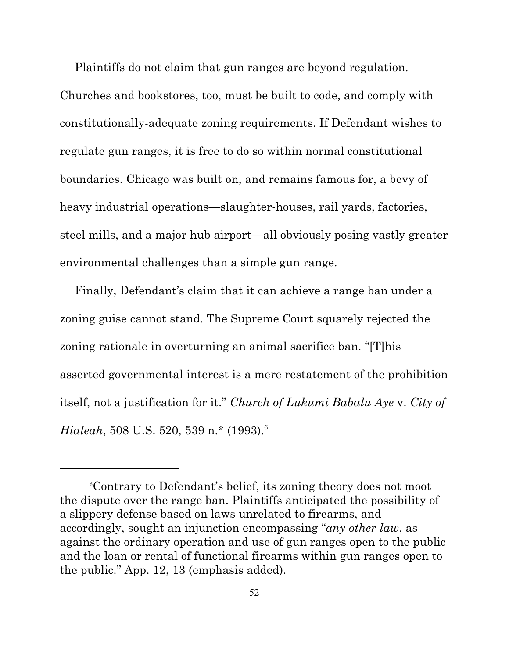Plaintiffs do not claim that gun ranges are beyond regulation.

Churches and bookstores, too, must be built to code, and comply with constitutionally-adequate zoning requirements. If Defendant wishes to regulate gun ranges, it is free to do so within normal constitutional boundaries. Chicago was built on, and remains famous for, a bevy of heavy industrial operations—slaughter-houses, rail yards, factories, steel mills, and a major hub airport—all obviously posing vastly greater environmental challenges than a simple gun range.

Finally, Defendant's claim that it can achieve a range ban under a zoning guise cannot stand. The Supreme Court squarely rejected the zoning rationale in overturning an animal sacrifice ban. "[T]his asserted governmental interest is a mere restatement of the prohibition itself, not a justification for it." *Church of Lukumi Babalu Aye* v. *City of Hialeah*, 508 U.S. 520, 539 n.\* (1993). 6

Contrary to Defendant's belief, its zoning theory does not moot 6 the dispute over the range ban. Plaintiffs anticipated the possibility of a slippery defense based on laws unrelated to firearms, and accordingly, sought an injunction encompassing "*any other law*, as against the ordinary operation and use of gun ranges open to the public and the loan or rental of functional firearms within gun ranges open to the public." App. 12, 13 (emphasis added).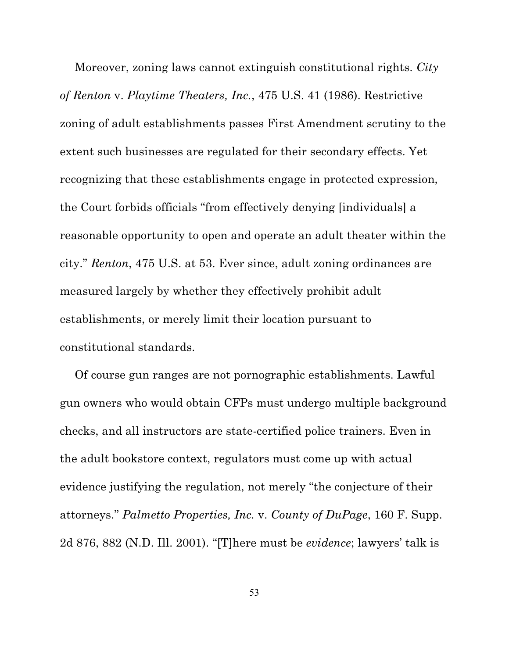Moreover, zoning laws cannot extinguish constitutional rights. *City of Renton* v. *Playtime Theaters, Inc.*, 475 U.S. 41 (1986). Restrictive zoning of adult establishments passes First Amendment scrutiny to the extent such businesses are regulated for their secondary effects. Yet recognizing that these establishments engage in protected expression, the Court forbids officials "from effectively denying [individuals] a reasonable opportunity to open and operate an adult theater within the city." *Renton*, 475 U.S. at 53. Ever since, adult zoning ordinances are measured largely by whether they effectively prohibit adult establishments, or merely limit their location pursuant to constitutional standards.

Of course gun ranges are not pornographic establishments. Lawful gun owners who would obtain CFPs must undergo multiple background checks, and all instructors are state-certified police trainers. Even in the adult bookstore context, regulators must come up with actual evidence justifying the regulation, not merely "the conjecture of their attorneys." *Palmetto Properties, Inc.* v. *County of DuPage*, 160 F. Supp. 2d 876, 882 (N.D. Ill. 2001). "[T]here must be *evidence*; lawyers' talk is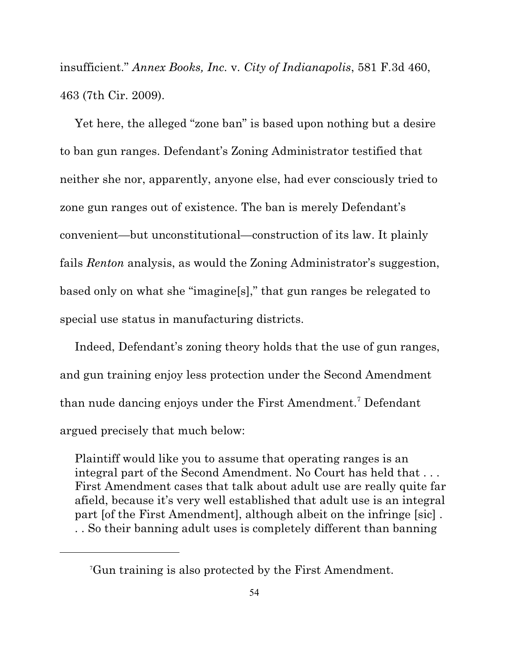insufficient." *Annex Books, Inc.* v. *City of Indianapolis*, 581 F.3d 460, 463 (7th Cir. 2009).

Yet here, the alleged "zone ban" is based upon nothing but a desire to ban gun ranges. Defendant's Zoning Administrator testified that neither she nor, apparently, anyone else, had ever consciously tried to zone gun ranges out of existence. The ban is merely Defendant's convenient—but unconstitutional—construction of its law. It plainly fails *Renton* analysis, as would the Zoning Administrator's suggestion, based only on what she "imagine[s]," that gun ranges be relegated to special use status in manufacturing districts.

Indeed, Defendant's zoning theory holds that the use of gun ranges, and gun training enjoy less protection under the Second Amendment than nude dancing enjoys under the First Amendment.<sup>7</sup> Defendant argued precisely that much below:

Plaintiff would like you to assume that operating ranges is an integral part of the Second Amendment. No Court has held that . . . First Amendment cases that talk about adult use are really quite far afield, because it's very well established that adult use is an integral part [of the First Amendment], although albeit on the infringe [sic] . . . So their banning adult uses is completely different than banning

Gun training is also protected by the First Amendment. 7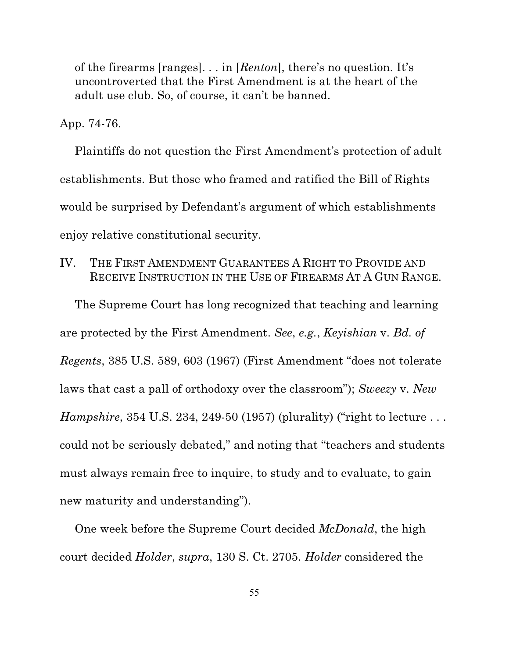of the firearms [ranges]. . . in [*Renton*], there's no question. It's uncontroverted that the First Amendment is at the heart of the adult use club. So, of course, it can't be banned.

App. 74-76.

Plaintiffs do not question the First Amendment's protection of adult establishments. But those who framed and ratified the Bill of Rights would be surprised by Defendant's argument of which establishments enjoy relative constitutional security.

IV. THE FIRST AMENDMENT GUARANTEES A RIGHT TO PROVIDE AND RECEIVE INSTRUCTION IN THE USE OF FIREARMS AT A GUN RANGE.

The Supreme Court has long recognized that teaching and learning are protected by the First Amendment. *See*, *e.g.*, *Keyishian* v. *Bd. of Regents*, 385 U.S. 589, 603 (1967) (First Amendment "does not tolerate laws that cast a pall of orthodoxy over the classroom"); *Sweezy* v. *New Hampshire*, 354 U.S. 234, 249-50 (1957) (plurality) ("right to lecture ... could not be seriously debated," and noting that "teachers and students must always remain free to inquire, to study and to evaluate, to gain new maturity and understanding").

One week before the Supreme Court decided *McDonald*, the high court decided *Holder*, *supra*, 130 S. Ct. 2705. *Holder* considered the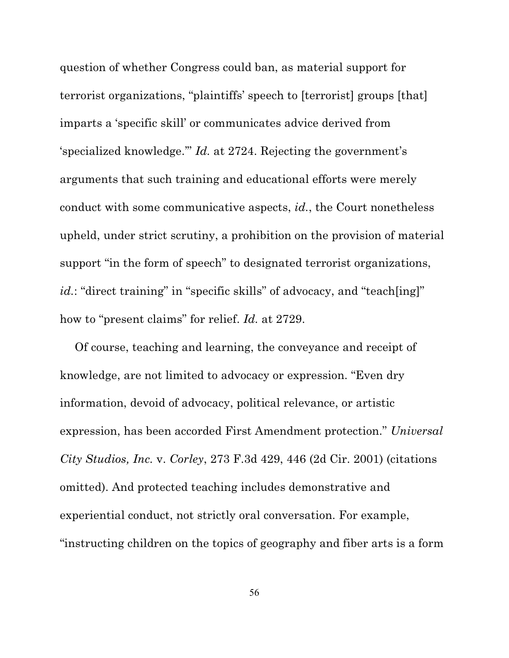question of whether Congress could ban, as material support for terrorist organizations, "plaintiffs' speech to [terrorist] groups [that] imparts a 'specific skill' or communicates advice derived from 'specialized knowledge.'" *Id.* at 2724. Rejecting the government's arguments that such training and educational efforts were merely conduct with some communicative aspects, *id.*, the Court nonetheless upheld, under strict scrutiny, a prohibition on the provision of material support "in the form of speech" to designated terrorist organizations, *id.*: "direct training" in "specific skills" of advocacy, and "teach[ing]" how to "present claims" for relief. *Id.* at 2729.

Of course, teaching and learning, the conveyance and receipt of knowledge, are not limited to advocacy or expression. "Even dry information, devoid of advocacy, political relevance, or artistic expression, has been accorded First Amendment protection." *Universal City Studios, Inc.* v. *Corley*, 273 F.3d 429, 446 (2d Cir. 2001) (citations omitted). And protected teaching includes demonstrative and experiential conduct, not strictly oral conversation. For example, "instructing children on the topics of geography and fiber arts is a form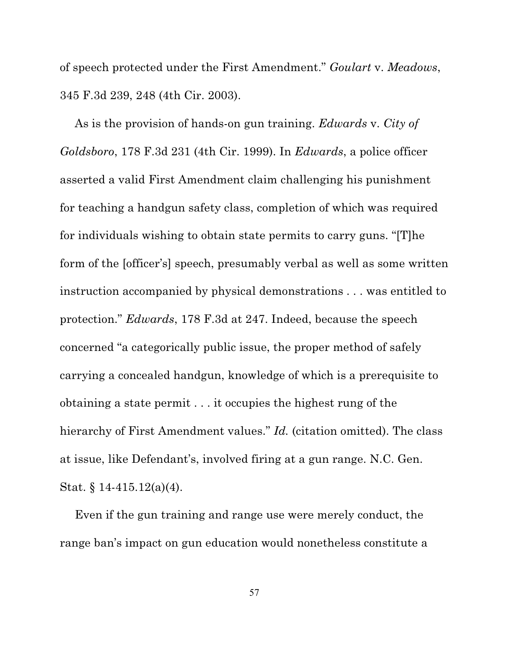of speech protected under the First Amendment." *Goulart* v. *Meadows*, 345 F.3d 239, 248 (4th Cir. 2003).

As is the provision of hands-on gun training. *Edwards* v. *City of Goldsboro*, 178 F.3d 231 (4th Cir. 1999). In *Edwards*, a police officer asserted a valid First Amendment claim challenging his punishment for teaching a handgun safety class, completion of which was required for individuals wishing to obtain state permits to carry guns. "[T]he form of the [officer's] speech, presumably verbal as well as some written instruction accompanied by physical demonstrations . . . was entitled to protection." *Edwards*, 178 F.3d at 247. Indeed, because the speech concerned "a categorically public issue, the proper method of safely carrying a concealed handgun, knowledge of which is a prerequisite to obtaining a state permit . . . it occupies the highest rung of the hierarchy of First Amendment values." *Id.* (citation omitted). The class at issue, like Defendant's, involved firing at a gun range. N.C. Gen. Stat. § 14-415.12(a)(4).

Even if the gun training and range use were merely conduct, the range ban's impact on gun education would nonetheless constitute a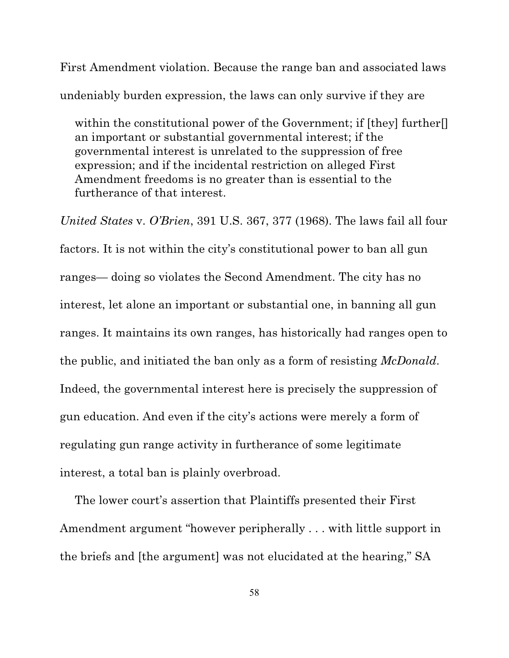First Amendment violation. Because the range ban and associated laws undeniably burden expression, the laws can only survive if they are

within the constitutional power of the Government; if [they] further<sup>[]</sup> an important or substantial governmental interest; if the governmental interest is unrelated to the suppression of free expression; and if the incidental restriction on alleged First Amendment freedoms is no greater than is essential to the furtherance of that interest.

*United States* v. *O'Brien*, 391 U.S. 367, 377 (1968). The laws fail all four factors. It is not within the city's constitutional power to ban all gun ranges— doing so violates the Second Amendment. The city has no interest, let alone an important or substantial one, in banning all gun ranges. It maintains its own ranges, has historically had ranges open to the public, and initiated the ban only as a form of resisting *McDonald*. Indeed, the governmental interest here is precisely the suppression of gun education. And even if the city's actions were merely a form of regulating gun range activity in furtherance of some legitimate interest, a total ban is plainly overbroad.

The lower court's assertion that Plaintiffs presented their First Amendment argument "however peripherally . . . with little support in the briefs and [the argument] was not elucidated at the hearing," SA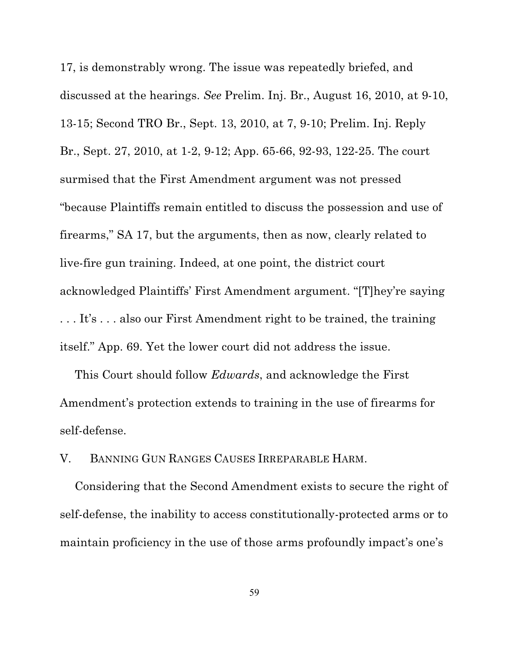17, is demonstrably wrong. The issue was repeatedly briefed, and discussed at the hearings. *See* Prelim. Inj. Br., August 16, 2010, at 9-10, 13-15; Second TRO Br., Sept. 13, 2010, at 7, 9-10; Prelim. Inj. Reply Br., Sept. 27, 2010, at 1-2, 9-12; App. 65-66, 92-93, 122-25. The court surmised that the First Amendment argument was not pressed "because Plaintiffs remain entitled to discuss the possession and use of firearms," SA 17, but the arguments, then as now, clearly related to live-fire gun training. Indeed, at one point, the district court acknowledged Plaintiffs' First Amendment argument. "[T]hey're saying . . . It's . . . also our First Amendment right to be trained, the training itself." App. 69. Yet the lower court did not address the issue.

This Court should follow *Edwards*, and acknowledge the First Amendment's protection extends to training in the use of firearms for self-defense.

V. BANNING GUN RANGES CAUSES IRREPARABLE HARM.

Considering that the Second Amendment exists to secure the right of self-defense, the inability to access constitutionally-protected arms or to maintain proficiency in the use of those arms profoundly impact's one's

59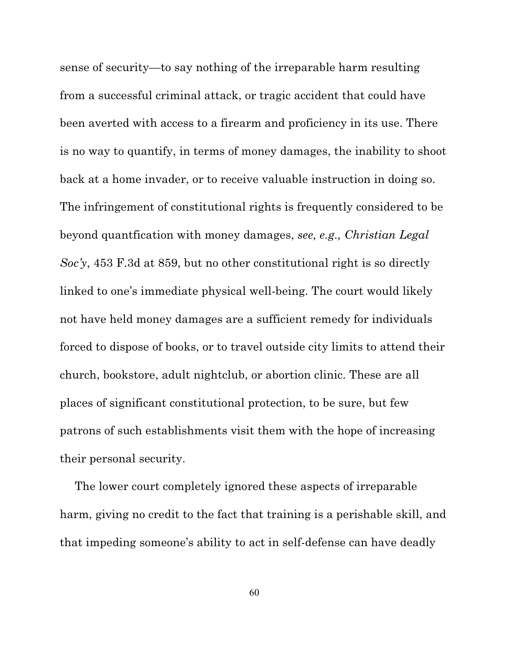sense of security—to say nothing of the irreparable harm resulting from a successful criminal attack, or tragic accident that could have been averted with access to a firearm and proficiency in its use. There is no way to quantify, in terms of money damages, the inability to shoot back at a home invader, or to receive valuable instruction in doing so. The infringement of constitutional rights is frequently considered to be beyond quantfication with money damages, *see, e.g., Christian Legal Soc'y*, 453 F.3d at 859, but no other constitutional right is so directly linked to one's immediate physical well-being. The court would likely not have held money damages are a sufficient remedy for individuals forced to dispose of books, or to travel outside city limits to attend their church, bookstore, adult nightclub, or abortion clinic. These are all places of significant constitutional protection, to be sure, but few patrons of such establishments visit them with the hope of increasing their personal security.

The lower court completely ignored these aspects of irreparable harm, giving no credit to the fact that training is a perishable skill, and that impeding someone's ability to act in self-defense can have deadly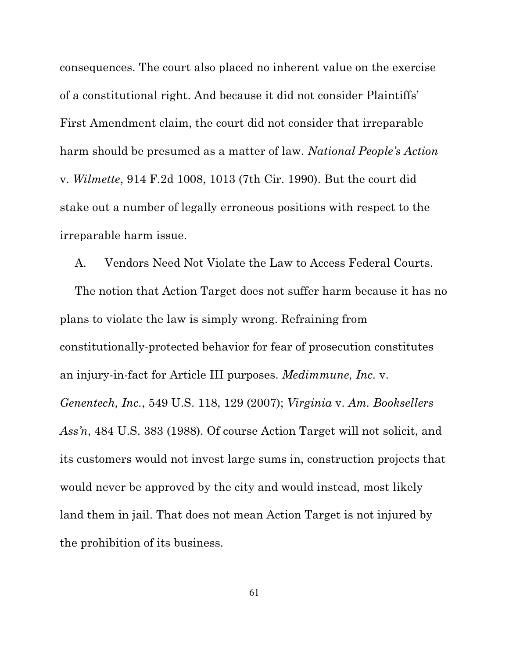consequences. The court also placed no inherent value on the exercise of a constitutional right. And because it did not consider Plaintiffs' First Amendment claim, the court did not consider that irreparable harm should be presumed as a matter of law. *National People's Action* v. *Wilmette*, 914 F.2d 1008, 1013 (7th Cir. 1990). But the court did stake out a number of legally erroneous positions with respect to the irreparable harm issue.

A. Vendors Need Not Violate the Law to Access Federal Courts.

The notion that Action Target does not suffer harm because it has no plans to violate the law is simply wrong. Refraining from constitutionally-protected behavior for fear of prosecution constitutes an injury-in-fact for Article III purposes. *Medimmune, Inc.* v. *Genentech, Inc.*, 549 U.S. 118, 129 (2007); *Virginia* v. *Am. Booksellers Ass'n*, 484 U.S. 383 (1988). Of course Action Target will not solicit, and its customers would not invest large sums in, construction projects that would never be approved by the city and would instead, most likely land them in jail. That does not mean Action Target is not injured by the prohibition of its business.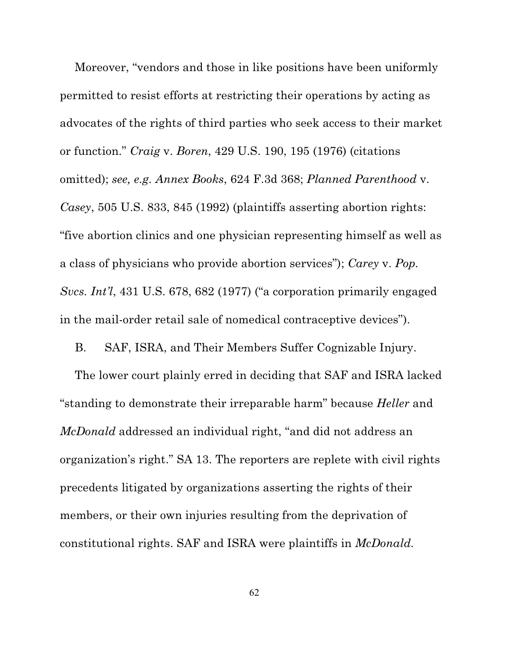Moreover, "vendors and those in like positions have been uniformly permitted to resist efforts at restricting their operations by acting as advocates of the rights of third parties who seek access to their market or function." *Craig* v. *Boren*, 429 U.S. 190, 195 (1976) (citations omitted); *see, e.g. Annex Books*, 624 F.3d 368; *Planned Parenthood* v. *Casey*, 505 U.S. 833, 845 (1992) (plaintiffs asserting abortion rights: "five abortion clinics and one physician representing himself as well as a class of physicians who provide abortion services"); *Carey* v. *Pop. Svcs. Int'l*, 431 U.S. 678, 682 (1977) ("a corporation primarily engaged in the mail-order retail sale of nomedical contraceptive devices").

B. SAF, ISRA, and Their Members Suffer Cognizable Injury.

The lower court plainly erred in deciding that SAF and ISRA lacked "standing to demonstrate their irreparable harm" because *Heller* and *McDonald* addressed an individual right, "and did not address an organization's right." SA 13. The reporters are replete with civil rights precedents litigated by organizations asserting the rights of their members, or their own injuries resulting from the deprivation of constitutional rights. SAF and ISRA were plaintiffs in *McDonald.*

62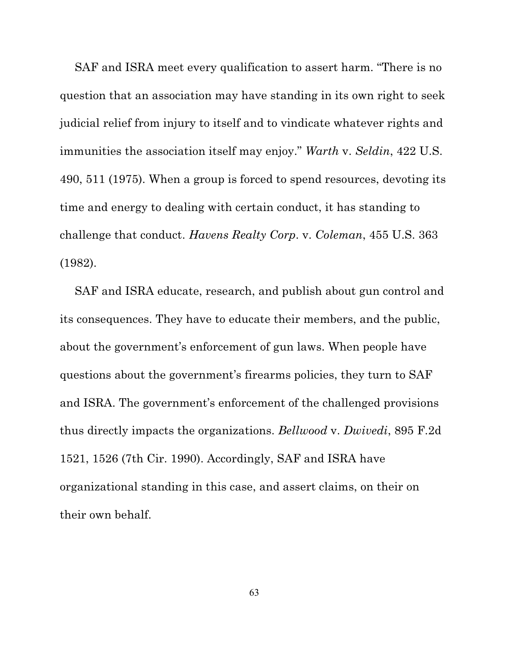SAF and ISRA meet every qualification to assert harm. "There is no question that an association may have standing in its own right to seek judicial relief from injury to itself and to vindicate whatever rights and immunities the association itself may enjoy." *Warth* v. *Seldin*, 422 U.S. 490, 511 (1975). When a group is forced to spend resources, devoting its time and energy to dealing with certain conduct, it has standing to challenge that conduct. *Havens Realty Corp*. v. *Coleman*, 455 U.S. 363 (1982).

SAF and ISRA educate, research, and publish about gun control and its consequences. They have to educate their members, and the public, about the government's enforcement of gun laws. When people have questions about the government's firearms policies, they turn to SAF and ISRA. The government's enforcement of the challenged provisions thus directly impacts the organizations. *Bellwood* v. *Dwivedi*, 895 F.2d 1521, 1526 (7th Cir. 1990). Accordingly, SAF and ISRA have organizational standing in this case, and assert claims, on their on their own behalf.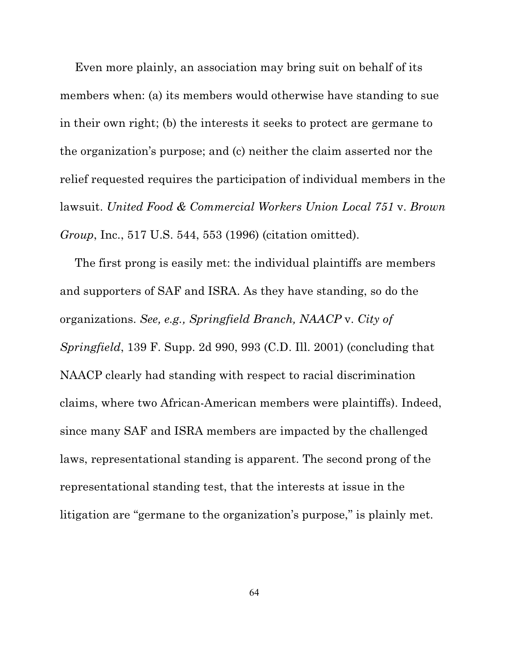Even more plainly, an association may bring suit on behalf of its members when: (a) its members would otherwise have standing to sue in their own right; (b) the interests it seeks to protect are germane to the organization's purpose; and (c) neither the claim asserted nor the relief requested requires the participation of individual members in the lawsuit. *United Food & Commercial Workers Union Local 751* v. *Brown Group*, Inc., 517 U.S. 544, 553 (1996) (citation omitted).

The first prong is easily met: the individual plaintiffs are members and supporters of SAF and ISRA. As they have standing, so do the organizations. *See, e.g., Springfield Branch, NAACP* v. *City of Springfield*, 139 F. Supp. 2d 990, 993 (C.D. Ill. 2001) (concluding that NAACP clearly had standing with respect to racial discrimination claims, where two African-American members were plaintiffs). Indeed, since many SAF and ISRA members are impacted by the challenged laws, representational standing is apparent. The second prong of the representational standing test, that the interests at issue in the litigation are "germane to the organization's purpose," is plainly met.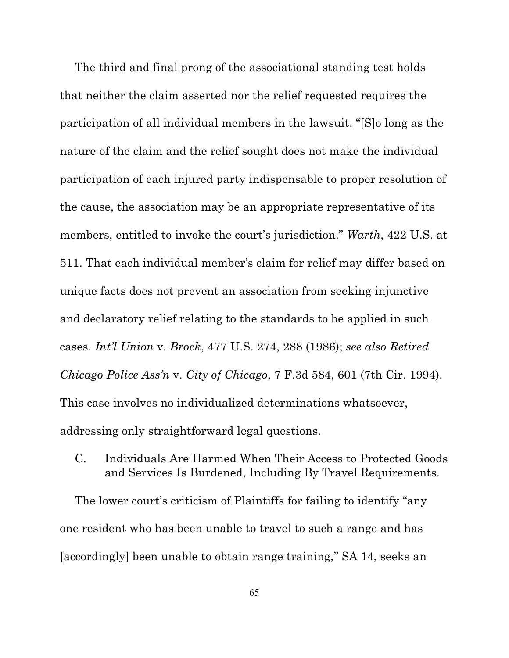The third and final prong of the associational standing test holds that neither the claim asserted nor the relief requested requires the participation of all individual members in the lawsuit. "[S]o long as the nature of the claim and the relief sought does not make the individual participation of each injured party indispensable to proper resolution of the cause, the association may be an appropriate representative of its members, entitled to invoke the court's jurisdiction." *Warth*, 422 U.S. at 511. That each individual member's claim for relief may differ based on unique facts does not prevent an association from seeking injunctive and declaratory relief relating to the standards to be applied in such cases. *Int'l Union* v. *Brock*, 477 U.S. 274, 288 (1986); *see also Retired Chicago Police Ass'n* v. *City of Chicago*, 7 F.3d 584, 601 (7th Cir. 1994). This case involves no individualized determinations whatsoever, addressing only straightforward legal questions.

C. Individuals Are Harmed When Their Access to Protected Goods and Services Is Burdened, Including By Travel Requirements.

The lower court's criticism of Plaintiffs for failing to identify "any one resident who has been unable to travel to such a range and has [accordingly] been unable to obtain range training," SA 14, seeks an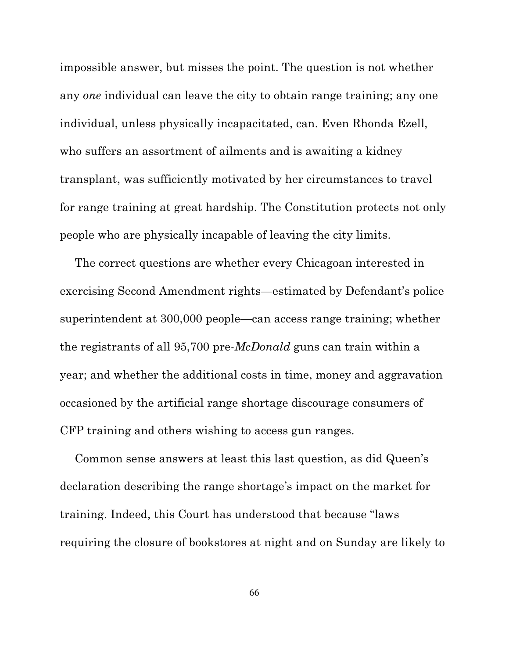impossible answer, but misses the point. The question is not whether any *one* individual can leave the city to obtain range training; any one individual, unless physically incapacitated, can. Even Rhonda Ezell, who suffers an assortment of ailments and is awaiting a kidney transplant, was sufficiently motivated by her circumstances to travel for range training at great hardship. The Constitution protects not only people who are physically incapable of leaving the city limits.

The correct questions are whether every Chicagoan interested in exercising Second Amendment rights—estimated by Defendant's police superintendent at 300,000 people—can access range training; whether the registrants of all 95,700 pre-*McDonald* guns can train within a year; and whether the additional costs in time, money and aggravation occasioned by the artificial range shortage discourage consumers of CFP training and others wishing to access gun ranges.

Common sense answers at least this last question, as did Queen's declaration describing the range shortage's impact on the market for training. Indeed, this Court has understood that because "laws requiring the closure of bookstores at night and on Sunday are likely to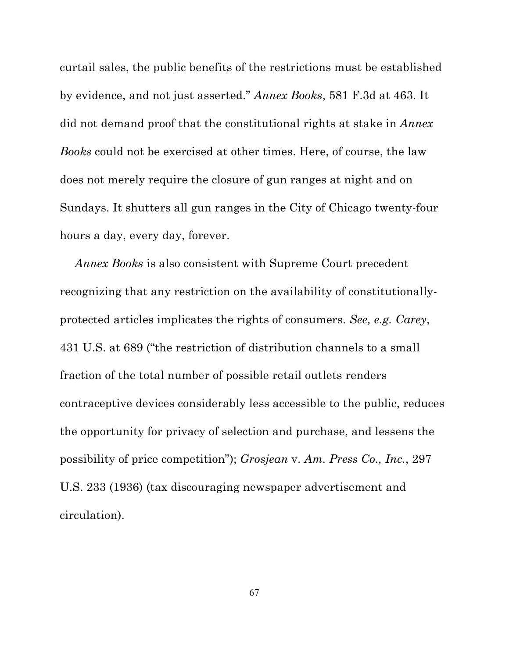curtail sales, the public benefits of the restrictions must be established by evidence, and not just asserted." *Annex Books*, 581 F.3d at 463. It did not demand proof that the constitutional rights at stake in *Annex Books* could not be exercised at other times. Here, of course, the law does not merely require the closure of gun ranges at night and on Sundays. It shutters all gun ranges in the City of Chicago twenty-four hours a day, every day, forever.

*Annex Books* is also consistent with Supreme Court precedent recognizing that any restriction on the availability of constitutionallyprotected articles implicates the rights of consumers. *See, e.g. Carey*, 431 U.S. at 689 ("the restriction of distribution channels to a small fraction of the total number of possible retail outlets renders contraceptive devices considerably less accessible to the public, reduces the opportunity for privacy of selection and purchase, and lessens the possibility of price competition"); *Grosjean* v. *Am. Press Co., Inc.*, 297 U.S. 233 (1936) (tax discouraging newspaper advertisement and circulation).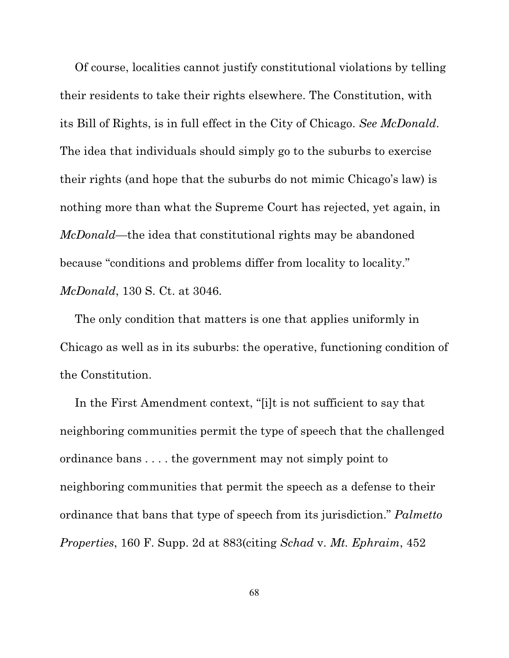Of course, localities cannot justify constitutional violations by telling their residents to take their rights elsewhere. The Constitution, with its Bill of Rights, is in full effect in the City of Chicago. *See McDonald*. The idea that individuals should simply go to the suburbs to exercise their rights (and hope that the suburbs do not mimic Chicago's law) is nothing more than what the Supreme Court has rejected, yet again, in *McDonald*—the idea that constitutional rights may be abandoned because "conditions and problems differ from locality to locality." *McDonald*, 130 S. Ct. at 3046.

The only condition that matters is one that applies uniformly in Chicago as well as in its suburbs: the operative, functioning condition of the Constitution.

In the First Amendment context, "[i]t is not sufficient to say that neighboring communities permit the type of speech that the challenged ordinance bans . . . . the government may not simply point to neighboring communities that permit the speech as a defense to their ordinance that bans that type of speech from its jurisdiction." *Palmetto Properties*, 160 F. Supp. 2d at 883(citing *Schad* v. *Mt. Ephraim*, 452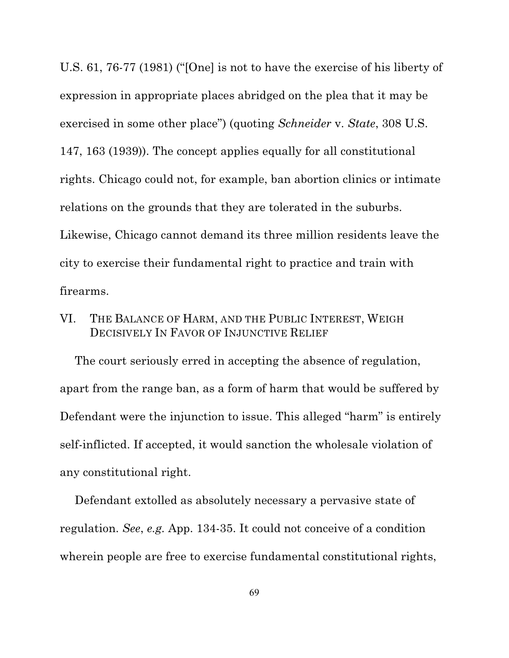U.S. 61, 76-77 (1981) ("[One] is not to have the exercise of his liberty of expression in appropriate places abridged on the plea that it may be exercised in some other place") (quoting *Schneider* v. *State*, 308 U.S. 147, 163 (1939)). The concept applies equally for all constitutional rights. Chicago could not, for example, ban abortion clinics or intimate relations on the grounds that they are tolerated in the suburbs. Likewise, Chicago cannot demand its three million residents leave the city to exercise their fundamental right to practice and train with firearms.

## VI. THE BALANCE OF HARM, AND THE PUBLIC INTEREST, WEIGH DECISIVELY IN FAVOR OF INJUNCTIVE RELIEF

The court seriously erred in accepting the absence of regulation, apart from the range ban, as a form of harm that would be suffered by Defendant were the injunction to issue. This alleged "harm" is entirely self-inflicted. If accepted, it would sanction the wholesale violation of any constitutional right.

Defendant extolled as absolutely necessary a pervasive state of regulation. *See*, *e.g.* App. 134-35. It could not conceive of a condition wherein people are free to exercise fundamental constitutional rights,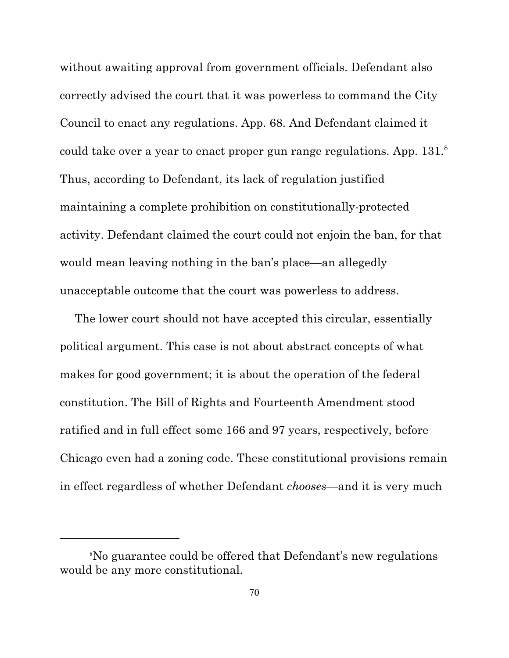without awaiting approval from government officials. Defendant also correctly advised the court that it was powerless to command the City Council to enact any regulations. App. 68. And Defendant claimed it could take over a year to enact proper gun range regulations. App. 131.<sup>8</sup> Thus, according to Defendant, its lack of regulation justified maintaining a complete prohibition on constitutionally-protected activity. Defendant claimed the court could not enjoin the ban, for that would mean leaving nothing in the ban's place—an allegedly unacceptable outcome that the court was powerless to address.

The lower court should not have accepted this circular, essentially political argument. This case is not about abstract concepts of what makes for good government; it is about the operation of the federal constitution. The Bill of Rights and Fourteenth Amendment stood ratified and in full effect some 166 and 97 years, respectively, before Chicago even had a zoning code. These constitutional provisions remain in effect regardless of whether Defendant *chooses*—and it is very much

No guarantee could be offered that Defendant's new regulations <sup>8</sup> would be any more constitutional.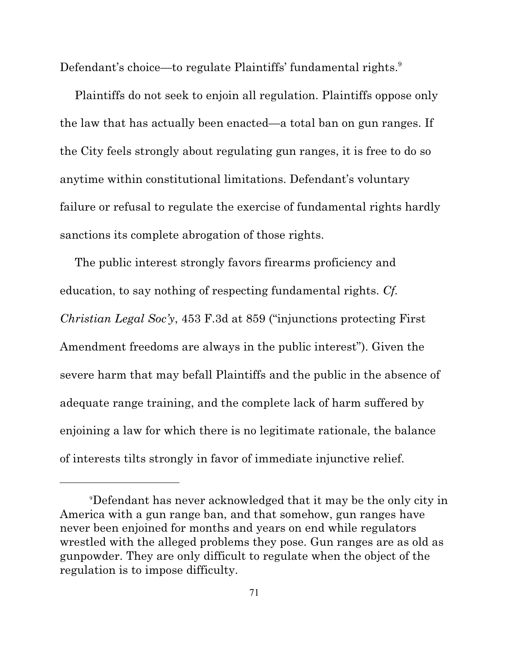Defendant's choice—to regulate Plaintiffs' fundamental rights.<sup>9</sup>

Plaintiffs do not seek to enjoin all regulation. Plaintiffs oppose only the law that has actually been enacted—a total ban on gun ranges. If the City feels strongly about regulating gun ranges, it is free to do so anytime within constitutional limitations. Defendant's voluntary failure or refusal to regulate the exercise of fundamental rights hardly sanctions its complete abrogation of those rights.

The public interest strongly favors firearms proficiency and education, to say nothing of respecting fundamental rights. *Cf. Christian Legal Soc'y*, 453 F.3d at 859 ("injunctions protecting First Amendment freedoms are always in the public interest"). Given the severe harm that may befall Plaintiffs and the public in the absence of adequate range training, and the complete lack of harm suffered by enjoining a law for which there is no legitimate rationale, the balance of interests tilts strongly in favor of immediate injunctive relief.

Defendant has never acknowledged that it may be the only city in <sup>9</sup> America with a gun range ban, and that somehow, gun ranges have never been enjoined for months and years on end while regulators wrestled with the alleged problems they pose. Gun ranges are as old as gunpowder. They are only difficult to regulate when the object of the regulation is to impose difficulty.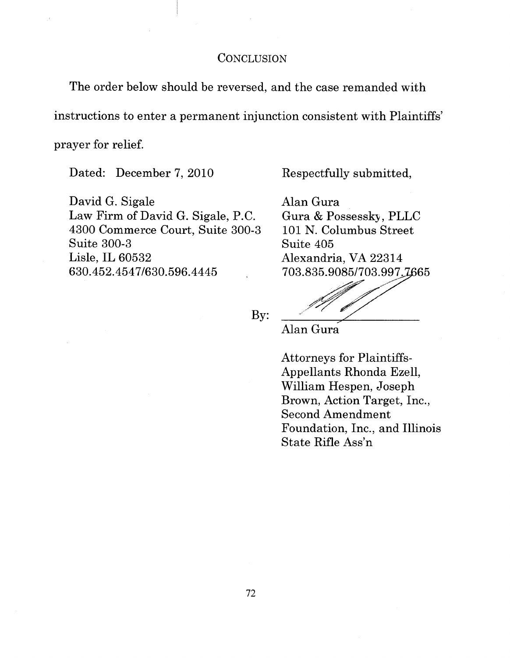## CONCLUSION

The order below should be reversed, and the case remanded with

instructions to enter a permanent injunction consistent with Plaintiffs'

prayer for relief.

Dated: December 7, 2010

David G. Sigale Law Firm of David G. Sigale, P.C. 4300 Commerce Court, Suite 300-3 **Suite 300-3** Lisle, IL 60532 630.452.4547/630.596.4445

Respectfully submitted,

Alan Gura Gura & Possessky, PLLC 101 N. Columbus Street Suite 405 Alexandria, VA 22314 703.835.9085/703.997.7665

By:

Alan Gura

**Attorneys for Plaintiffs-**Appellants Rhonda Ezell, William Hespen, Joseph Brown, Action Target, Inc., **Second Amendment** Foundation, Inc., and Illinois State Rifle Ass'n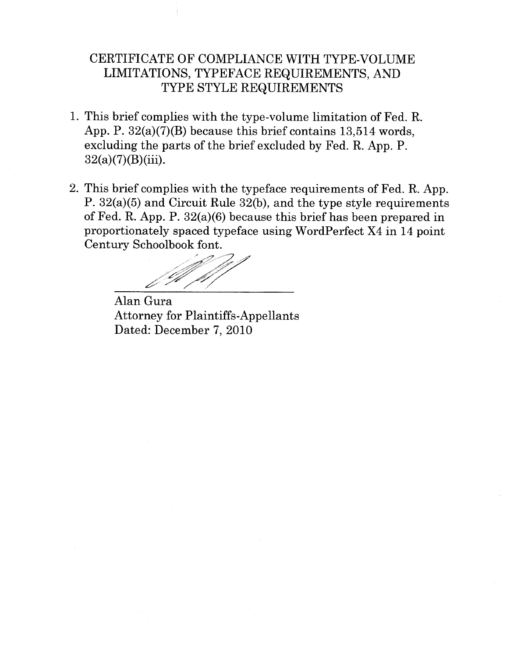## CERTIFICATE OF COMPLIANCE WITH TYPE-VOLUME LIMITATIONS, TYPEFACE REQUIREMENTS, AND TYPE STYLE REQUIREMENTS

- 1. This brief complies with the type-volume limitation of Fed. R. App. P.  $32(a)(7)(B)$  because this brief contains 13.514 words. excluding the parts of the brief excluded by Fed. R. App. P.  $32(a)(7)(B)(iii)$ .
- 2. This brief complies with the typeface requirements of Fed. R. App. P.  $32(a)(5)$  and Circuit Rule  $32(b)$ , and the type style requirements of Fed. R. App. P.  $32(a)(6)$  because this brief has been prepared in proportionately spaced typeface using WordPerfect X4 in 14 point Century Schoolbook font.

Alan Gura **Attorney for Plaintiffs-Appellants** Dated: December 7, 2010